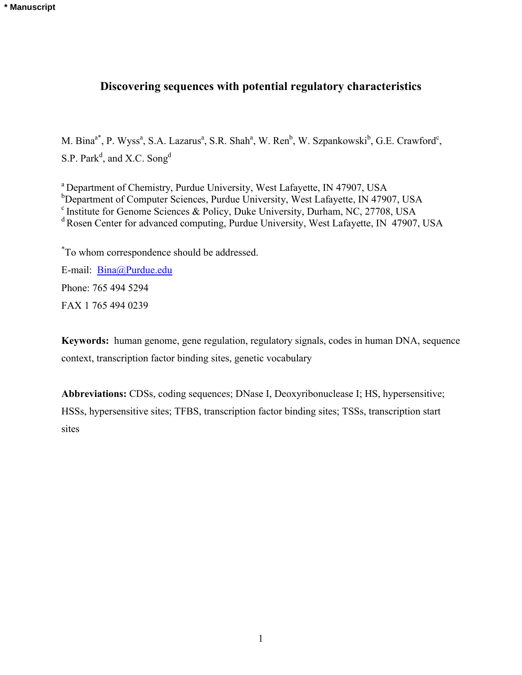# **Discovering sequences with potential regulatory characteristics**

M. Bina<sup>a\*</sup>, P. Wyss<sup>a</sup>, S.A. Lazarus<sup>a</sup>, S.R. Shah<sup>a</sup>, W. Ren<sup>b</sup>, W. Szpankowski<sup>b</sup>, G.E. Crawford<sup>c</sup>, S.P. Park<sup>d</sup>, and X.C. Song<sup>d</sup>

a Department of Chemistry, Purdue University, West Lafayette, IN 47907, USA

b Department of Computer Sciences, Purdue University, West Lafayette, IN 47907, USA

c Institute for Genome Sciences & Policy, Duke University, Durham, NC, 27708, USA

<sup>d</sup> Rosen Center for advanced computing, Purdue University, West Lafayette, IN 47907, USA

\* To whom correspondence should be addressed.

E-mail: [Bina@Purdue.edu](mailto:Bina@Purdue.edu) Phone: 765 494 5294 FAX 1 765 494 0239

**Keywords:** human genome, gene regulation, regulatory signals, codes in human DNA, sequence context, transcription factor binding sites, genetic vocabulary

**Abbreviations:** CDSs, coding sequences; DNase I, Deoxyribonuclease I; HS, hypersensitive; HSSs, hypersensitive sites; TFBS, transcription factor binding sites; TSSs, transcription start sites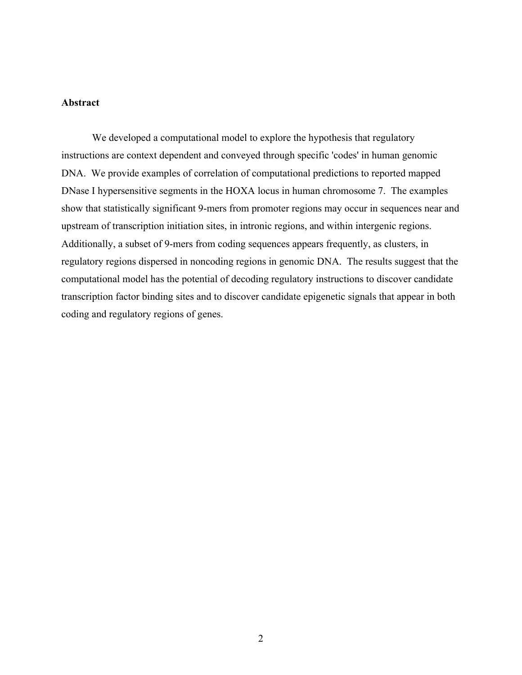#### **Abstract**

We developed a computational model to explore the hypothesis that regulatory instructions are context dependent and conveyed through specific 'codes' in human genomic DNA. We provide examples of correlation of computational predictions to reported mapped DNase I hypersensitive segments in the HOXA locus in human chromosome 7. The examples show that statistically significant 9-mers from promoter regions may occur in sequences near and upstream of transcription initiation sites, in intronic regions, and within intergenic regions. Additionally, a subset of 9-mers from coding sequences appears frequently, as clusters, in regulatory regions dispersed in noncoding regions in genomic DNA. The results suggest that the computational model has the potential of decoding regulatory instructions to discover candidate transcription factor binding sites and to discover candidate epigenetic signals that appear in both coding and regulatory regions of genes.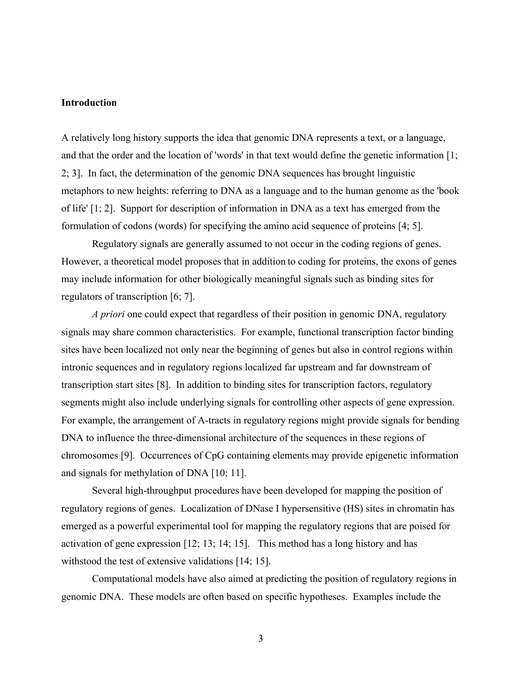#### **Introduction**

A relatively long history supports the idea that genomic DNA represents a text, or a language, and that the order and the location of 'words' in that text would define the genetic information [1; 2; 3]. In fact, the determination of the genomic DNA sequences has brought linguistic metaphors to new heights: referring to DNA as a language and to the human genome as the 'book of life' [1; 2]. Support for description of information in DNA as a text has emerged from the formulation of codons (words) for specifying the amino acid sequence of proteins [4; 5].

Regulatory signals are generally assumed to not occur in the coding regions of genes. However, a theoretical model proposes that in addition to coding for proteins, the exons of genes may include information for other biologically meaningful signals such as binding sites for regulators of transcription [6; 7].

*A priori* one could expect that regardless of their position in genomic DNA, regulatory signals may share common characteristics. For example, functional transcription factor binding sites have been localized not only near the beginning of genes but also in control regions within intronic sequences and in regulatory regions localized far upstream and far downstream of transcription start sites [8]. In addition to binding sites for transcription factors, regulatory segments might also include underlying signals for controlling other aspects of gene expression. For example, the arrangement of A-tracts in regulatory regions might provide signals for bending DNA to influence the three-dimensional architecture of the sequences in these regions of chromosomes [9]. Occurrences of CpG containing elements may provide epigenetic information and signals for methylation of DNA [10; 11].

Several high-throughput procedures have been developed for mapping the position of regulatory regions of genes. Localization of DNase I hypersensitive (HS) sites in chromatin has emerged as a powerful experimental tool for mapping the regulatory regions that are poised for activation of gene expression [12; 13; 14; 15]. This method has a long history and has withstood the test of extensive validations [14; 15].

Computational models have also aimed at predicting the position of regulatory regions in genomic DNA. These models are often based on specific hypotheses. Examples include the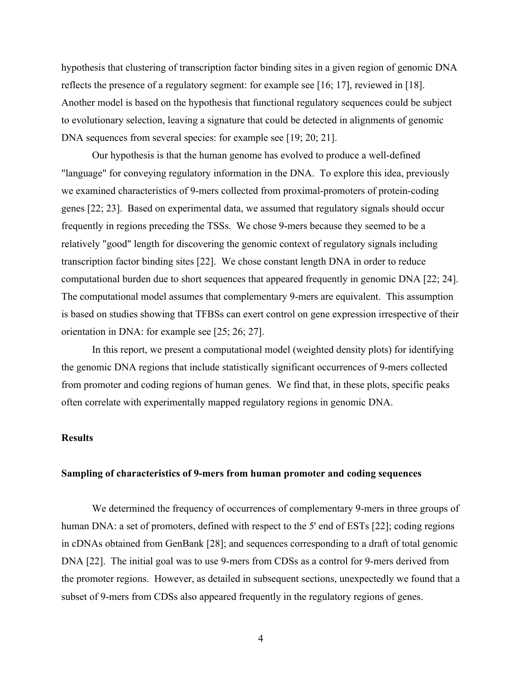hypothesis that clustering of transcription factor binding sites in a given region of genomic DNA reflects the presence of a regulatory segment: for example see [16; 17], reviewed in [18]. Another model is based on the hypothesis that functional regulatory sequences could be subject to evolutionary selection, leaving a signature that could be detected in alignments of genomic DNA sequences from several species: for example see [19; 20; 21].

Our hypothesis is that the human genome has evolved to produce a well-defined "language" for conveying regulatory information in the DNA. To explore this idea, previously we examined characteristics of 9-mers collected from proximal-promoters of protein-coding genes [22; 23]. Based on experimental data, we assumed that regulatory signals should occur frequently in regions preceding the TSSs. We chose 9-mers because they seemed to be a relatively "good" length for discovering the genomic context of regulatory signals including transcription factor binding sites [22]. We chose constant length DNA in order to reduce computational burden due to short sequences that appeared frequently in genomic DNA [22; 24]. The computational model assumes that complementary 9-mers are equivalent. This assumption is based on studies showing that TFBSs can exert control on gene expression irrespective of their orientation in DNA: for example see [25; 26; 27].

In this report, we present a computational model (weighted density plots) for identifying the genomic DNA regions that include statistically significant occurrences of 9-mers collected from promoter and coding regions of human genes. We find that, in these plots, specific peaks often correlate with experimentally mapped regulatory regions in genomic DNA.

# **Results**

## **Sampling of characteristics of 9-mers from human promoter and coding sequences**

We determined the frequency of occurrences of complementary 9-mers in three groups of human DNA: a set of promoters, defined with respect to the 5' end of ESTs [22]; coding regions in cDNAs obtained from GenBank [28]; and sequences corresponding to a draft of total genomic DNA [22]. The initial goal was to use 9-mers from CDSs as a control for 9-mers derived from the promoter regions. However, as detailed in subsequent sections, unexpectedly we found that a subset of 9-mers from CDSs also appeared frequently in the regulatory regions of genes.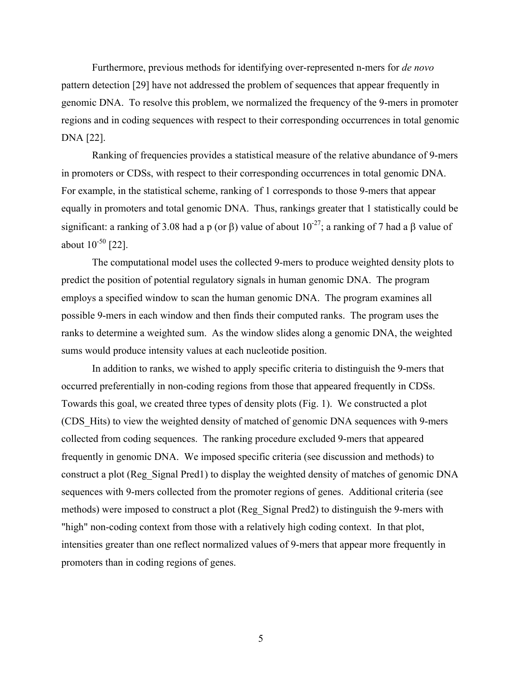Furthermore, previous methods for identifying over-represented n-mers for *de novo* pattern detection [29] have not addressed the problem of sequences that appear frequently in genomic DNA. To resolve this problem, we normalized the frequency of the 9-mers in promoter regions and in coding sequences with respect to their corresponding occurrences in total genomic DNA [22].

Ranking of frequencies provides a statistical measure of the relative abundance of 9-mers in promoters or CDSs, with respect to their corresponding occurrences in total genomic DNA. For example, in the statistical scheme, ranking of 1 corresponds to those 9-mers that appear equally in promoters and total genomic DNA. Thus, rankings greater that 1 statistically could be significant: a ranking of 3.08 had a p (or  $\beta$ ) value of about  $10^{-27}$ ; a ranking of 7 had a  $\beta$  value of about  $10^{-50}$  [22].

The computational model uses the collected 9-mers to produce weighted density plots to predict the position of potential regulatory signals in human genomic DNA. The program employs a specified window to scan the human genomic DNA. The program examines all possible 9-mers in each window and then finds their computed ranks. The program uses the ranks to determine a weighted sum. As the window slides along a genomic DNA, the weighted sums would produce intensity values at each nucleotide position.

In addition to ranks, we wished to apply specific criteria to distinguish the 9-mers that occurred preferentially in non-coding regions from those that appeared frequently in CDSs. Towards this goal, we created three types of density plots (Fig. 1). We constructed a plot (CDS\_Hits) to view the weighted density of matched of genomic DNA sequences with 9-mers collected from coding sequences. The ranking procedure excluded 9-mers that appeared frequently in genomic DNA. We imposed specific criteria (see discussion and methods) to construct a plot (Reg\_Signal Pred1) to display the weighted density of matches of genomic DNA sequences with 9-mers collected from the promoter regions of genes. Additional criteria (see methods) were imposed to construct a plot (Reg\_Signal Pred2) to distinguish the 9-mers with "high" non-coding context from those with a relatively high coding context. In that plot, intensities greater than one reflect normalized values of 9-mers that appear more frequently in promoters than in coding regions of genes.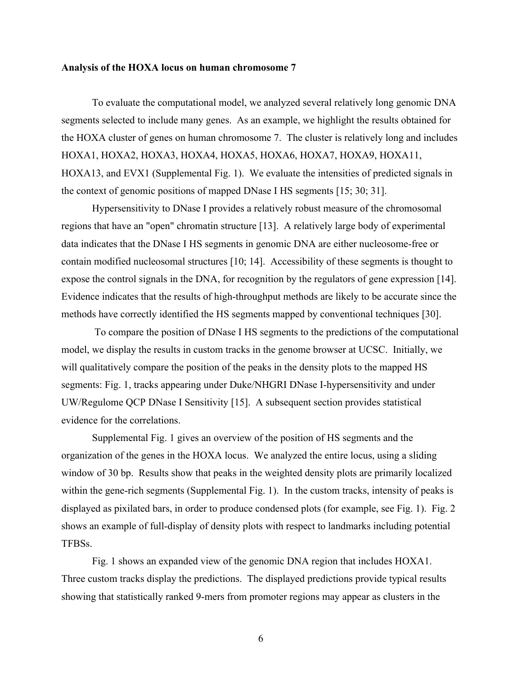#### **Analysis of the HOXA locus on human chromosome 7**

To evaluate the computational model, we analyzed several relatively long genomic DNA segments selected to include many genes. As an example, we highlight the results obtained for the HOXA cluster of genes on human chromosome 7. The cluster is relatively long and includes HOXA1, HOXA2, HOXA3, HOXA4, HOXA5, HOXA6, HOXA7, HOXA9, HOXA11, HOXA13, and EVX1 (Supplemental Fig. 1). We evaluate the intensities of predicted signals in the context of genomic positions of mapped DNase I HS segments [15; 30; 31].

Hypersensitivity to DNase I provides a relatively robust measure of the chromosomal regions that have an "open" chromatin structure [13]. A relatively large body of experimental data indicates that the DNase I HS segments in genomic DNA are either nucleosome-free or contain modified nucleosomal structures [10; 14]. Accessibility of these segments is thought to expose the control signals in the DNA, for recognition by the regulators of gene expression [14]. Evidence indicates that the results of high-throughput methods are likely to be accurate since the methods have correctly identified the HS segments mapped by conventional techniques [30].

 To compare the position of DNase I HS segments to the predictions of the computational model, we display the results in custom tracks in the genome browser at UCSC. Initially, we will qualitatively compare the position of the peaks in the density plots to the mapped HS segments: Fig. 1, tracks appearing under Duke/NHGRI DNase I-hypersensitivity and under UW/Regulome QCP DNase I Sensitivity [15]. A subsequent section provides statistical evidence for the correlations.

Supplemental Fig. 1 gives an overview of the position of HS segments and the organization of the genes in the HOXA locus. We analyzed the entire locus, using a sliding window of 30 bp. Results show that peaks in the weighted density plots are primarily localized within the gene-rich segments (Supplemental Fig. 1). In the custom tracks, intensity of peaks is displayed as pixilated bars, in order to produce condensed plots (for example, see Fig. 1). Fig. 2 shows an example of full-display of density plots with respect to landmarks including potential TFBSs.

Fig. 1 shows an expanded view of the genomic DNA region that includes HOXA1. Three custom tracks display the predictions. The displayed predictions provide typical results showing that statistically ranked 9-mers from promoter regions may appear as clusters in the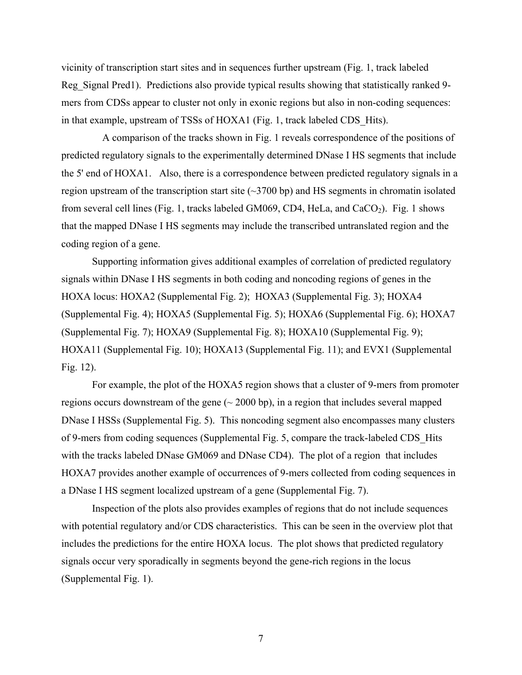vicinity of transcription start sites and in sequences further upstream (Fig. 1, track labeled Reg\_Signal Pred1). Predictions also provide typical results showing that statistically ranked 9 mers from CDSs appear to cluster not only in exonic regions but also in non-coding sequences: in that example, upstream of TSSs of HOXA1 (Fig. 1, track labeled CDS\_Hits).

 A comparison of the tracks shown in Fig. 1 reveals correspondence of the positions of predicted regulatory signals to the experimentally determined DNase I HS segments that include the 5' end of HOXA1. Also, there is a correspondence between predicted regulatory signals in a region upstream of the transcription start site (~3700 bp) and HS segments in chromatin isolated from several cell lines (Fig. 1, tracks labeled GM069, CD4, HeLa, and CaCO<sub>2</sub>). Fig. 1 shows that the mapped DNase I HS segments may include the transcribed untranslated region and the coding region of a gene.

Supporting information gives additional examples of correlation of predicted regulatory signals within DNase I HS segments in both coding and noncoding regions of genes in the HOXA locus: HOXA2 (Supplemental Fig. 2); HOXA3 (Supplemental Fig. 3); HOXA4 (Supplemental Fig. 4); HOXA5 (Supplemental Fig. 5); HOXA6 (Supplemental Fig. 6); HOXA7 (Supplemental Fig. 7); HOXA9 (Supplemental Fig. 8); HOXA10 (Supplemental Fig. 9); HOXA11 (Supplemental Fig. 10); HOXA13 (Supplemental Fig. 11); and EVX1 (Supplemental Fig. 12).

For example, the plot of the HOXA5 region shows that a cluster of 9-mers from promoter regions occurs downstream of the gene  $(\sim 2000 \text{ bp})$ , in a region that includes several mapped DNase I HSSs (Supplemental Fig. 5). This noncoding segment also encompasses many clusters of 9-mers from coding sequences (Supplemental Fig. 5, compare the track-labeled CDS\_Hits with the tracks labeled DNase GM069 and DNase CD4). The plot of a region that includes HOXA7 provides another example of occurrences of 9-mers collected from coding sequences in a DNase I HS segment localized upstream of a gene (Supplemental Fig. 7).

Inspection of the plots also provides examples of regions that do not include sequences with potential regulatory and/or CDS characteristics. This can be seen in the overview plot that includes the predictions for the entire HOXA locus. The plot shows that predicted regulatory signals occur very sporadically in segments beyond the gene-rich regions in the locus (Supplemental Fig. 1).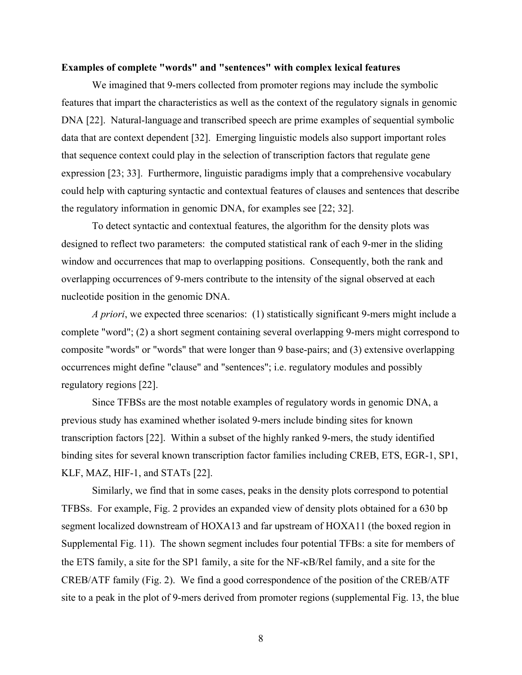#### **Examples of complete "words" and "sentences" with complex lexical features**

We imagined that 9-mers collected from promoter regions may include the symbolic features that impart the characteristics as well as the context of the regulatory signals in genomic DNA [22]. Natural-language and transcribed speech are prime examples of sequential symbolic data that are context dependent [32]. Emerging linguistic models also support important roles that sequence context could play in the selection of transcription factors that regulate gene expression [23; 33]. Furthermore, linguistic paradigms imply that a comprehensive vocabulary could help with capturing syntactic and contextual features of clauses and sentences that describe the regulatory information in genomic DNA, for examples see [22; 32].

To detect syntactic and contextual features, the algorithm for the density plots was designed to reflect two parameters: the computed statistical rank of each 9-mer in the sliding window and occurrences that map to overlapping positions. Consequently, both the rank and overlapping occurrences of 9-mers contribute to the intensity of the signal observed at each nucleotide position in the genomic DNA.

*A priori*, we expected three scenarios: (1) statistically significant 9-mers might include a complete "word"; (2) a short segment containing several overlapping 9-mers might correspond to composite "words" or "words" that were longer than 9 base-pairs; and (3) extensive overlapping occurrences might define "clause" and "sentences"; i.e. regulatory modules and possibly regulatory regions [22].

Since TFBSs are the most notable examples of regulatory words in genomic DNA, a previous study has examined whether isolated 9-mers include binding sites for known transcription factors [22]. Within a subset of the highly ranked 9-mers, the study identified binding sites for several known transcription factor families including CREB, ETS, EGR-1, SP1, KLF, MAZ, HIF-1, and STATs [22].

Similarly, we find that in some cases, peaks in the density plots correspond to potential TFBSs. For example, Fig. 2 provides an expanded view of density plots obtained for a 630 bp segment localized downstream of HOXA13 and far upstream of HOXA11 (the boxed region in Supplemental Fig. 11). The shown segment includes four potential TFBs: a site for members of the ETS family, a site for the SP1 family, a site for the NF- $\kappa$ B/Rel family, and a site for the CREB/ATF family (Fig. 2). We find a good correspondence of the position of the CREB/ATF site to a peak in the plot of 9-mers derived from promoter regions (supplemental Fig. 13, the blue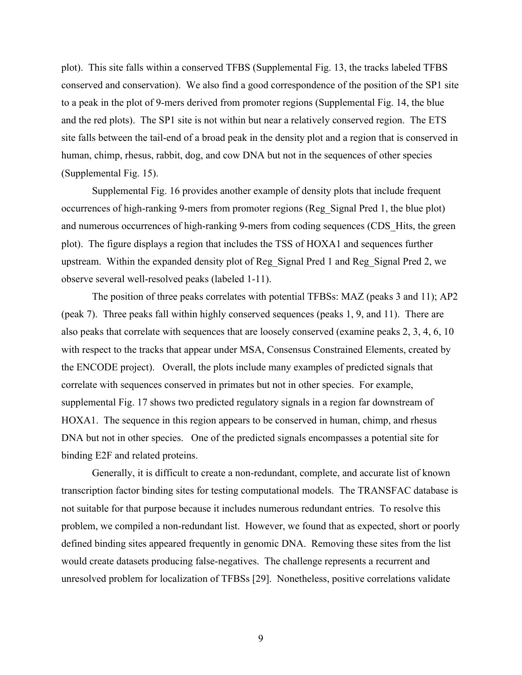plot). This site falls within a conserved TFBS (Supplemental Fig. 13, the tracks labeled TFBS conserved and conservation). We also find a good correspondence of the position of the SP1 site to a peak in the plot of 9-mers derived from promoter regions (Supplemental Fig. 14, the blue and the red plots). The SP1 site is not within but near a relatively conserved region. The ETS site falls between the tail-end of a broad peak in the density plot and a region that is conserved in human, chimp, rhesus, rabbit, dog, and cow DNA but not in the sequences of other species (Supplemental Fig. 15).

Supplemental Fig. 16 provides another example of density plots that include frequent occurrences of high-ranking 9-mers from promoter regions (Reg\_Signal Pred 1, the blue plot) and numerous occurrences of high-ranking 9-mers from coding sequences (CDS\_Hits, the green plot). The figure displays a region that includes the TSS of HOXA1 and sequences further upstream. Within the expanded density plot of Reg\_Signal Pred 1 and Reg\_Signal Pred 2, we observe several well-resolved peaks (labeled 1-11).

The position of three peaks correlates with potential TFBSs: MAZ (peaks 3 and 11); AP2 (peak 7). Three peaks fall within highly conserved sequences (peaks 1, 9, and 11). There are also peaks that correlate with sequences that are loosely conserved (examine peaks 2, 3, 4, 6, 10 with respect to the tracks that appear under MSA, Consensus Constrained Elements, created by the ENCODE project). Overall, the plots include many examples of predicted signals that correlate with sequences conserved in primates but not in other species. For example, supplemental Fig. 17 shows two predicted regulatory signals in a region far downstream of HOXA1. The sequence in this region appears to be conserved in human, chimp, and rhesus DNA but not in other species. One of the predicted signals encompasses a potential site for binding E2F and related proteins.

Generally, it is difficult to create a non-redundant, complete, and accurate list of known transcription factor binding sites for testing computational models. The TRANSFAC database is not suitable for that purpose because it includes numerous redundant entries. To resolve this problem, we compiled a non-redundant list. However, we found that as expected, short or poorly defined binding sites appeared frequently in genomic DNA. Removing these sites from the list would create datasets producing false-negatives. The challenge represents a recurrent and unresolved problem for localization of TFBSs [29]. Nonetheless, positive correlations validate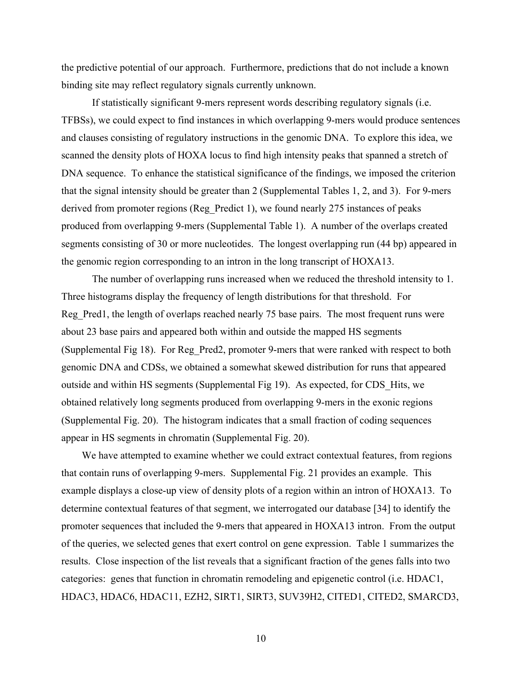the predictive potential of our approach. Furthermore, predictions that do not include a known binding site may reflect regulatory signals currently unknown.

If statistically significant 9-mers represent words describing regulatory signals (i.e. TFBSs), we could expect to find instances in which overlapping 9-mers would produce sentences and clauses consisting of regulatory instructions in the genomic DNA. To explore this idea, we scanned the density plots of HOXA locus to find high intensity peaks that spanned a stretch of DNA sequence. To enhance the statistical significance of the findings, we imposed the criterion that the signal intensity should be greater than 2 (Supplemental Tables 1, 2, and 3). For 9-mers derived from promoter regions (Reg\_Predict 1), we found nearly 275 instances of peaks produced from overlapping 9-mers (Supplemental Table 1). A number of the overlaps created segments consisting of 30 or more nucleotides. The longest overlapping run (44 bp) appeared in the genomic region corresponding to an intron in the long transcript of HOXA13.

The number of overlapping runs increased when we reduced the threshold intensity to 1. Three histograms display the frequency of length distributions for that threshold. For Reg Pred1, the length of overlaps reached nearly 75 base pairs. The most frequent runs were about 23 base pairs and appeared both within and outside the mapped HS segments (Supplemental Fig 18). For Reg\_Pred2, promoter 9-mers that were ranked with respect to both genomic DNA and CDSs, we obtained a somewhat skewed distribution for runs that appeared outside and within HS segments (Supplemental Fig 19). As expected, for CDS\_Hits, we obtained relatively long segments produced from overlapping 9-mers in the exonic regions (Supplemental Fig. 20). The histogram indicates that a small fraction of coding sequences appear in HS segments in chromatin (Supplemental Fig. 20).

 We have attempted to examine whether we could extract contextual features, from regions that contain runs of overlapping 9-mers. Supplemental Fig. 21 provides an example. This example displays a close-up view of density plots of a region within an intron of HOXA13. To determine contextual features of that segment, we interrogated our database [34] to identify the promoter sequences that included the 9-mers that appeared in HOXA13 intron. From the output of the queries, we selected genes that exert control on gene expression. Table 1 summarizes the results. Close inspection of the list reveals that a significant fraction of the genes falls into two categories: genes that function in chromatin remodeling and epigenetic control (i.e. HDAC1, HDAC3, HDAC6, HDAC11, EZH2, SIRT1, SIRT3, SUV39H2, CITED1, CITED2, SMARCD3,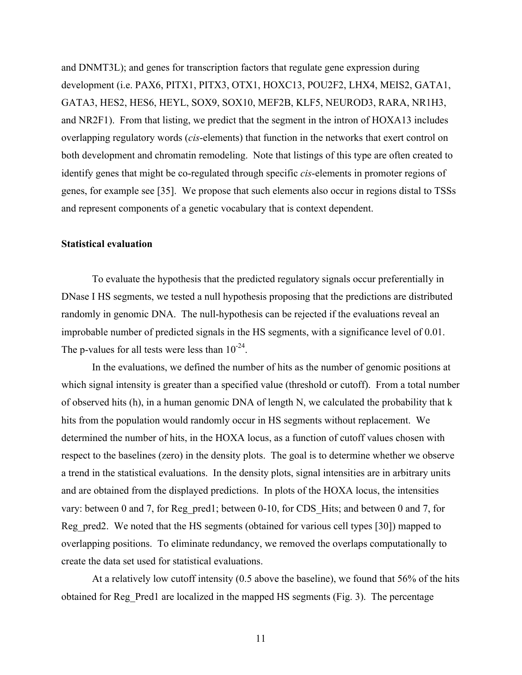and DNMT3L); and genes for transcription factors that regulate gene expression during development (i.e. PAX6, PITX1, PITX3, OTX1, HOXC13, POU2F2, LHX4, MEIS2, GATA1, GATA3, HES2, HES6, HEYL, SOX9, SOX10, MEF2B, KLF5, NEUROD3, RARA, NR1H3, and NR2F1). From that listing, we predict that the segment in the intron of HOXA13 includes overlapping regulatory words (*cis*-elements) that function in the networks that exert control on both development and chromatin remodeling. Note that listings of this type are often created to identify genes that might be co-regulated through specific *cis*-elements in promoter regions of genes, for example see [35]. We propose that such elements also occur in regions distal to TSSs and represent components of a genetic vocabulary that is context dependent.

## **Statistical evaluation**

To evaluate the hypothesis that the predicted regulatory signals occur preferentially in DNase I HS segments, we tested a null hypothesis proposing that the predictions are distributed randomly in genomic DNA. The null-hypothesis can be rejected if the evaluations reveal an improbable number of predicted signals in the HS segments, with a significance level of 0.01. The p-values for all tests were less than  $10^{-24}$ .

In the evaluations, we defined the number of hits as the number of genomic positions at which signal intensity is greater than a specified value (threshold or cutoff). From a total number of observed hits (h), in a human genomic DNA of length N, we calculated the probability that k hits from the population would randomly occur in HS segments without replacement. We determined the number of hits, in the HOXA locus, as a function of cutoff values chosen with respect to the baselines (zero) in the density plots. The goal is to determine whether we observe a trend in the statistical evaluations. In the density plots, signal intensities are in arbitrary units and are obtained from the displayed predictions. In plots of the HOXA locus, the intensities vary: between 0 and 7, for Reg\_pred1; between 0-10, for CDS\_Hits; and between 0 and 7, for Reg\_pred2. We noted that the HS segments (obtained for various cell types [30]) mapped to overlapping positions. To eliminate redundancy, we removed the overlaps computationally to create the data set used for statistical evaluations.

At a relatively low cutoff intensity (0.5 above the baseline), we found that 56% of the hits obtained for Reg\_Pred1 are localized in the mapped HS segments (Fig. 3). The percentage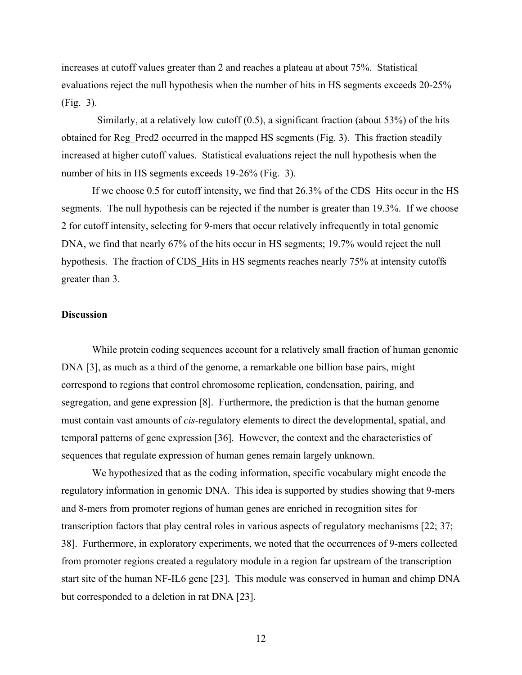increases at cutoff values greater than 2 and reaches a plateau at about 75%. Statistical evaluations reject the null hypothesis when the number of hits in HS segments exceeds 20-25% (Fig. 3).

 Similarly, at a relatively low cutoff (0.5), a significant fraction (about 53%) of the hits obtained for Reg\_Pred2 occurred in the mapped HS segments (Fig. 3). This fraction steadily increased at higher cutoff values. Statistical evaluations reject the null hypothesis when the number of hits in HS segments exceeds 19-26% (Fig. 3).

If we choose 0.5 for cutoff intensity, we find that 26.3% of the CDS\_Hits occur in the HS segments. The null hypothesis can be rejected if the number is greater than 19.3%. If we choose 2 for cutoff intensity, selecting for 9-mers that occur relatively infrequently in total genomic DNA, we find that nearly 67% of the hits occur in HS segments; 19.7% would reject the null hypothesis. The fraction of CDS Hits in HS segments reaches nearly 75% at intensity cutoffs greater than 3.

# **Discussion**

While protein coding sequences account for a relatively small fraction of human genomic DNA [3], as much as a third of the genome, a remarkable one billion base pairs, might correspond to regions that control chromosome replication, condensation, pairing, and segregation, and gene expression [8]. Furthermore, the prediction is that the human genome must contain vast amounts of *cis*-regulatory elements to direct the developmental, spatial, and temporal patterns of gene expression [36]. However, the context and the characteristics of sequences that regulate expression of human genes remain largely unknown.

We hypothesized that as the coding information, specific vocabulary might encode the regulatory information in genomic DNA. This idea is supported by studies showing that 9-mers and 8-mers from promoter regions of human genes are enriched in recognition sites for transcription factors that play central roles in various aspects of regulatory mechanisms [22; 37; 38]. Furthermore, in exploratory experiments, we noted that the occurrences of 9-mers collected from promoter regions created a regulatory module in a region far upstream of the transcription start site of the human NF-IL6 gene [23]. This module was conserved in human and chimp DNA but corresponded to a deletion in rat DNA [23].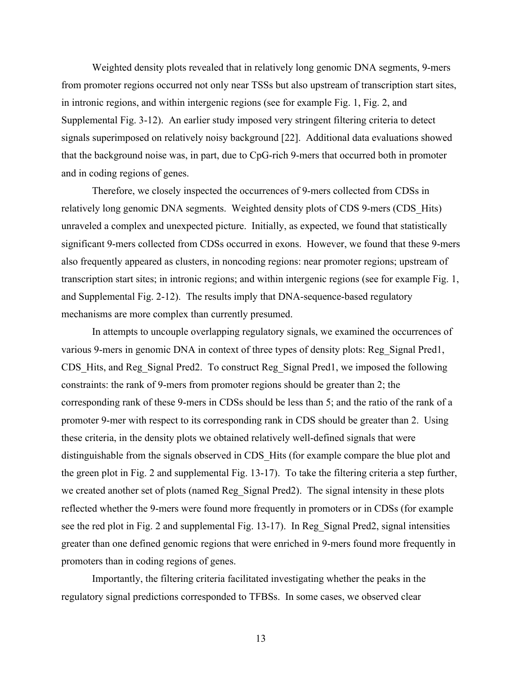Weighted density plots revealed that in relatively long genomic DNA segments, 9-mers from promoter regions occurred not only near TSSs but also upstream of transcription start sites, in intronic regions, and within intergenic regions (see for example Fig. 1, Fig. 2, and Supplemental Fig. 3-12). An earlier study imposed very stringent filtering criteria to detect signals superimposed on relatively noisy background [22]. Additional data evaluations showed that the background noise was, in part, due to CpG-rich 9-mers that occurred both in promoter and in coding regions of genes.

Therefore, we closely inspected the occurrences of 9-mers collected from CDSs in relatively long genomic DNA segments. Weighted density plots of CDS 9-mers (CDS\_Hits) unraveled a complex and unexpected picture. Initially, as expected, we found that statistically significant 9-mers collected from CDSs occurred in exons. However, we found that these 9-mers also frequently appeared as clusters, in noncoding regions: near promoter regions; upstream of transcription start sites; in intronic regions; and within intergenic regions (see for example Fig. 1, and Supplemental Fig. 2-12). The results imply that DNA-sequence-based regulatory mechanisms are more complex than currently presumed.

In attempts to uncouple overlapping regulatory signals, we examined the occurrences of various 9-mers in genomic DNA in context of three types of density plots: Reg\_Signal Pred1, CDS\_Hits, and Reg\_Signal Pred2. To construct Reg\_Signal Pred1, we imposed the following constraints: the rank of 9-mers from promoter regions should be greater than 2; the corresponding rank of these 9-mers in CDSs should be less than 5; and the ratio of the rank of a promoter 9-mer with respect to its corresponding rank in CDS should be greater than 2. Using these criteria, in the density plots we obtained relatively well-defined signals that were distinguishable from the signals observed in CDS. Hits (for example compare the blue plot and the green plot in Fig. 2 and supplemental Fig. 13-17). To take the filtering criteria a step further, we created another set of plots (named Reg\_Signal Pred2). The signal intensity in these plots reflected whether the 9-mers were found more frequently in promoters or in CDSs (for example see the red plot in Fig. 2 and supplemental Fig. 13-17). In Reg. Signal Pred2, signal intensities greater than one defined genomic regions that were enriched in 9-mers found more frequently in promoters than in coding regions of genes.

Importantly, the filtering criteria facilitated investigating whether the peaks in the regulatory signal predictions corresponded to TFBSs. In some cases, we observed clear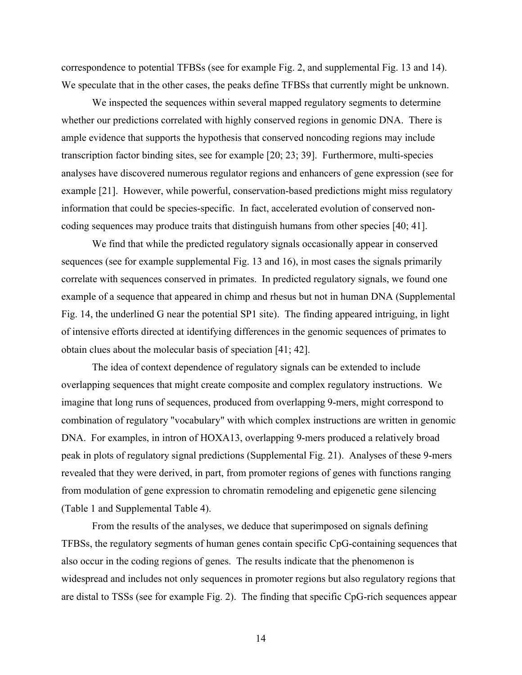correspondence to potential TFBSs (see for example Fig. 2, and supplemental Fig. 13 and 14). We speculate that in the other cases, the peaks define TFBSs that currently might be unknown.

We inspected the sequences within several mapped regulatory segments to determine whether our predictions correlated with highly conserved regions in genomic DNA. There is ample evidence that supports the hypothesis that conserved noncoding regions may include transcription factor binding sites, see for example [20; 23; 39]. Furthermore, multi-species analyses have discovered numerous regulator regions and enhancers of gene expression (see for example [21]. However, while powerful, conservation-based predictions might miss regulatory information that could be species-specific. In fact, accelerated evolution of conserved noncoding sequences may produce traits that distinguish humans from other species [40; 41].

We find that while the predicted regulatory signals occasionally appear in conserved sequences (see for example supplemental Fig. 13 and 16), in most cases the signals primarily correlate with sequences conserved in primates. In predicted regulatory signals, we found one example of a sequence that appeared in chimp and rhesus but not in human DNA (Supplemental Fig. 14, the underlined G near the potential SP1 site). The finding appeared intriguing, in light of intensive efforts directed at identifying differences in the genomic sequences of primates to obtain clues about the molecular basis of speciation [41; 42].

The idea of context dependence of regulatory signals can be extended to include overlapping sequences that might create composite and complex regulatory instructions. We imagine that long runs of sequences, produced from overlapping 9-mers, might correspond to combination of regulatory "vocabulary" with which complex instructions are written in genomic DNA. For examples, in intron of HOXA13, overlapping 9-mers produced a relatively broad peak in plots of regulatory signal predictions (Supplemental Fig. 21). Analyses of these 9-mers revealed that they were derived, in part, from promoter regions of genes with functions ranging from modulation of gene expression to chromatin remodeling and epigenetic gene silencing (Table 1 and Supplemental Table 4).

From the results of the analyses, we deduce that superimposed on signals defining TFBSs, the regulatory segments of human genes contain specific CpG-containing sequences that also occur in the coding regions of genes. The results indicate that the phenomenon is widespread and includes not only sequences in promoter regions but also regulatory regions that are distal to TSSs (see for example Fig. 2). The finding that specific CpG-rich sequences appear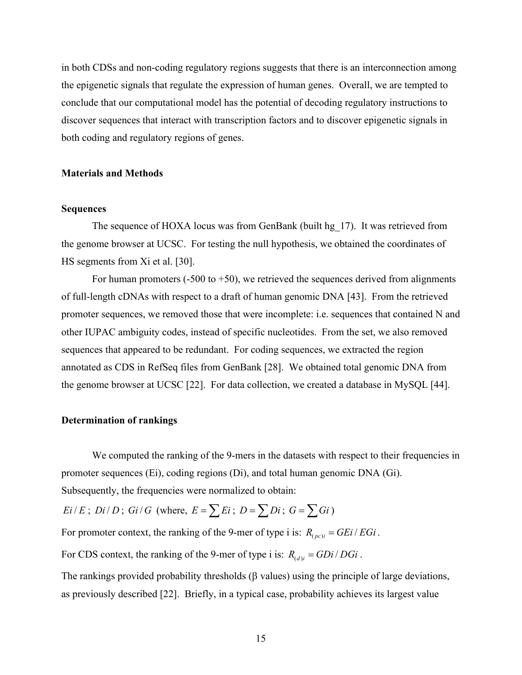in both CDSs and non-coding regulatory regions suggests that there is an interconnection among the epigenetic signals that regulate the expression of human genes. Overall, we are tempted to conclude that our computational model has the potential of decoding regulatory instructions to discover sequences that interact with transcription factors and to discover epigenetic signals in both coding and regulatory regions of genes.

#### **Materials and Methods**

## **Sequences**

The sequence of HOXA locus was from GenBank (built hg\_17). It was retrieved from the genome browser at UCSC. For testing the null hypothesis, we obtained the coordinates of HS segments from Xi et al. [30].

For human promoters  $(-500 \text{ to } +50)$ , we retrieved the sequences derived from alignments of full-length cDNAs with respect to a draft of human genomic DNA [43]. From the retrieved promoter sequences, we removed those that were incomplete: i.e. sequences that contained N and other IUPAC ambiguity codes, instead of specific nucleotides. From the set, we also removed sequences that appeared to be redundant. For coding sequences, we extracted the region annotated as CDS in RefSeq files from GenBank [28]. We obtained total genomic DNA from the genome browser at UCSC [22]. For data collection, we created a database in MySQL [44].

#### **Determination of rankings**

We computed the ranking of the 9-mers in the datasets with respect to their frequencies in promoter sequences (Ei), coding regions (Di), and total human genomic DNA (Gi). Subsequently, the frequencies were normalized to obtain:

*Ei* / *E*; *Di* / *D*; *Gi* / *G* (where,  $E = \sum E_i$ ;  $D = \sum Di$ ;  $G = \sum Gi$ )

For promoter context, the ranking of the 9-mer of type i is:  $R_{(pc)i} = GEi/EGi$ .

For CDS context, the ranking of the 9-mer of type i is:  $R_{(d)i} = GDi / DGi$ .

The rankings provided probability thresholds  $(\beta$  values) using the principle of large deviations, as previously described [22]. Briefly, in a typical case, probability achieves its largest value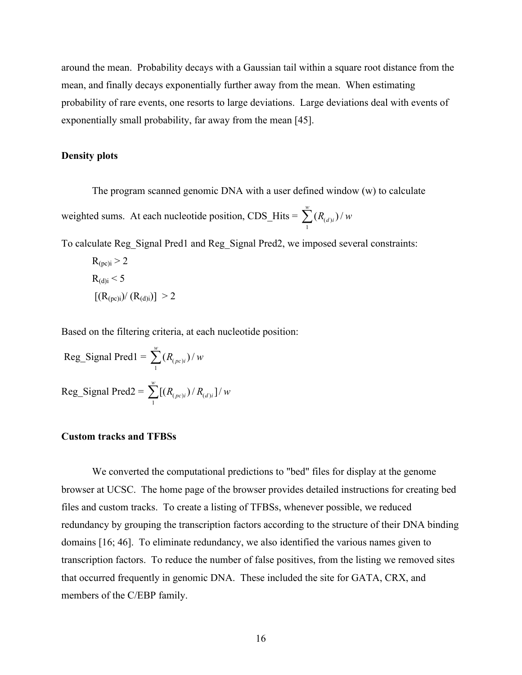around the mean. Probability decays with a Gaussian tail within a square root distance from the mean, and finally decays exponentially further away from the mean. When estimating probability of rare events, one resorts to large deviations. Large deviations deal with events of exponentially small probability, far away from the mean [45].

#### **Density plots**

The program scanned genomic DNA with a user defined window (w) to calculate weighted sums. At each nucleotide position, CDS\_Hits =  $\sum (R_{(d)})$ 1  $(R_{(d)i})$ /  $\sum^w (R_{(d)i}) / w$ 

To calculate Reg\_Signal Pred1 and Reg\_Signal Pred2, we imposed several constraints:

$$
R_{(pc)i} > 2
$$
  
\n
$$
R_{(d)i} < 5
$$
  
\n
$$
[(R_{(pc)i})/(R_{(d)i})] > 2
$$

Based on the filtering criteria, at each nucleotide position:

Reg\_Signal Pred1 = 
$$
\sum_{1}^{w} (R_{(pc)i}) / w
$$
  
Reg\_Signal Pred2 = 
$$
\sum_{1}^{w} [(R_{(pc)i}) / R_{(d)i}] / w
$$

#### **Custom tracks and TFBSs**

We converted the computational predictions to "bed" files for display at the genome browser at UCSC. The home page of the browser provides detailed instructions for creating bed files and custom tracks. To create a listing of TFBSs, whenever possible, we reduced redundancy by grouping the transcription factors according to the structure of their DNA binding domains [16; 46]. To eliminate redundancy, we also identified the various names given to transcription factors. To reduce the number of false positives, from the listing we removed sites that occurred frequently in genomic DNA. These included the site for GATA, CRX, and members of the C/EBP family.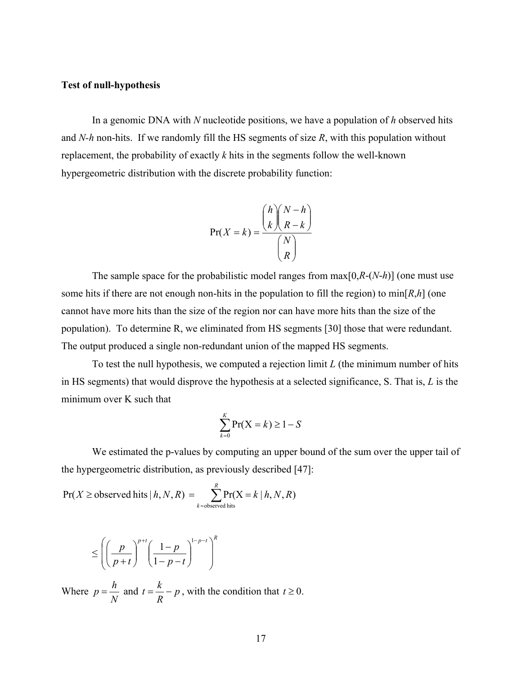#### **Test of null-hypothesis**

In a genomic DNA with *N* nucleotide positions, we have a population of *h* observed hits and *N-h* non-hits. If we randomly fill the HS segments of size *R*, with this population without replacement, the probability of exactly *k* hits in the segments follow the well-known hypergeometric distribution with the discrete probability function:

$$
Pr(X = k) = \frac{\binom{h}{k} \binom{N - h}{R - k}}{\binom{N}{k}}
$$

The sample space for the probabilistic model ranges from max[0,*R*-(*N*-*h*)] (one must use some hits if there are not enough non-hits in the population to fill the region) to min[*R*,*h*] (one cannot have more hits than the size of the region nor can have more hits than the size of the population). To determine R, we eliminated from HS segments [30] those that were redundant. The output produced a single non-redundant union of the mapped HS segments.

To test the null hypothesis, we computed a rejection limit *L* (the minimum number of hits in HS segments) that would disprove the hypothesis at a selected significance, S. That is, *L* is the minimum over K such that

$$
\sum_{k=0}^{K} \Pr(X = k) \ge 1 - S
$$

We estimated the p-values by computing an upper bound of the sum over the upper tail of the hypergeometric distribution, as previously described [47]:

$$
Pr(X \ge \text{observed hits} | h, N, R) = \sum_{k=\text{observed hits}}^{R} Pr(X = k | h, N, R)
$$

$$
\leq \left( \left( \frac{p}{p+t} \right)^{p+t} \left( \frac{1-p}{1-p-t} \right)^{1-p-t} \right)^{R}
$$

Where *N*  $p = \frac{h}{N}$  and  $t = \frac{k}{R} - p$ , with the condition that  $t \ge 0$ .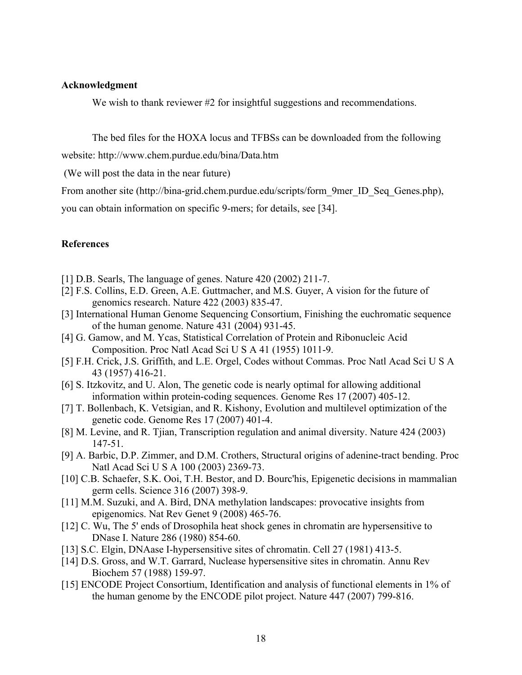## **Acknowledgment**

We wish to thank reviewer #2 for insightful suggestions and recommendations.

The bed files for the HOXA locus and TFBSs can be downloaded from the following

website: http://www.chem.purdue.edu/bina/Data.htm

(We will post the data in the near future)

From another site (http://bina-grid.chem.purdue.edu/scripts/form\_9mer\_ID\_Seq\_Genes.php),

you can obtain information on specific 9-mers; for details, see [34].

# **References**

- [1] D.B. Searls, The language of genes. Nature 420 (2002) 211-7.
- [2] F.S. Collins, E.D. Green, A.E. Guttmacher, and M.S. Guyer, A vision for the future of genomics research. Nature 422 (2003) 835-47.
- [3] International Human Genome Sequencing Consortium, Finishing the euchromatic sequence of the human genome. Nature 431 (2004) 931-45.
- [4] G. Gamow, and M. Ycas, Statistical Correlation of Protein and Ribonucleic Acid Composition. Proc Natl Acad Sci U S A 41 (1955) 1011-9.
- [5] F.H. Crick, J.S. Griffith, and L.E. Orgel, Codes without Commas. Proc Natl Acad Sci U S A 43 (1957) 416-21.
- [6] S. Itzkovitz, and U. Alon, The genetic code is nearly optimal for allowing additional information within protein-coding sequences. Genome Res 17 (2007) 405-12.
- [7] T. Bollenbach, K. Vetsigian, and R. Kishony, Evolution and multilevel optimization of the genetic code. Genome Res 17 (2007) 401-4.
- [8] M. Levine, and R. Tjian, Transcription regulation and animal diversity. Nature 424 (2003) 147-51.
- [9] A. Barbic, D.P. Zimmer, and D.M. Crothers, Structural origins of adenine-tract bending. Proc Natl Acad Sci U S A 100 (2003) 2369-73.
- [10] C.B. Schaefer, S.K. Ooi, T.H. Bestor, and D. Bourc'his, Epigenetic decisions in mammalian germ cells. Science 316 (2007) 398-9.
- [11] M.M. Suzuki, and A. Bird, DNA methylation landscapes: provocative insights from epigenomics. Nat Rev Genet 9 (2008) 465-76.
- [12] C. Wu, The 5' ends of Drosophila heat shock genes in chromatin are hypersensitive to DNase I. Nature 286 (1980) 854-60.
- [13] S.C. Elgin, DNAase I-hypersensitive sites of chromatin. Cell 27 (1981) 413-5.
- [14] D.S. Gross, and W.T. Garrard, Nuclease hypersensitive sites in chromatin. Annu Rev Biochem 57 (1988) 159-97.
- [15] ENCODE Project Consortium, Identification and analysis of functional elements in 1% of the human genome by the ENCODE pilot project. Nature 447 (2007) 799-816.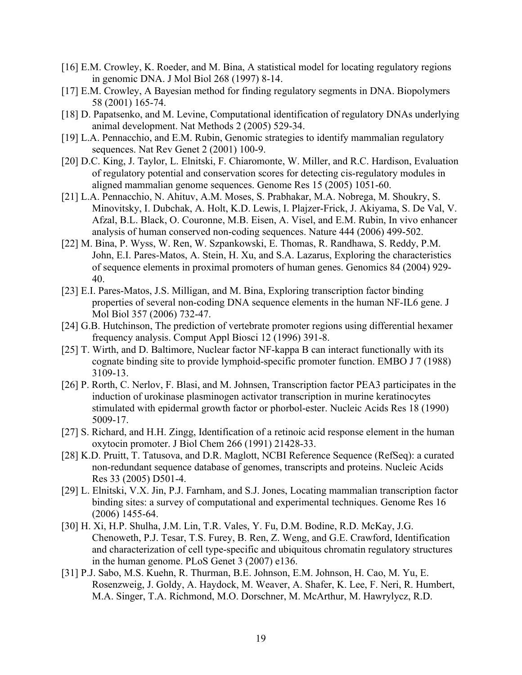- [16] E.M. Crowley, K. Roeder, and M. Bina, A statistical model for locating regulatory regions in genomic DNA. J Mol Biol 268 (1997) 8-14.
- [17] E.M. Crowley, A Bayesian method for finding regulatory segments in DNA. Biopolymers 58 (2001) 165-74.
- [18] D. Papatsenko, and M. Levine, Computational identification of regulatory DNAs underlying animal development. Nat Methods 2 (2005) 529-34.
- [19] L.A. Pennacchio, and E.M. Rubin, Genomic strategies to identify mammalian regulatory sequences. Nat Rev Genet 2 (2001) 100-9.
- [20] D.C. King, J. Taylor, L. Elnitski, F. Chiaromonte, W. Miller, and R.C. Hardison, Evaluation of regulatory potential and conservation scores for detecting cis-regulatory modules in aligned mammalian genome sequences. Genome Res 15 (2005) 1051-60.
- [21] L.A. Pennacchio, N. Ahituv, A.M. Moses, S. Prabhakar, M.A. Nobrega, M. Shoukry, S. Minovitsky, I. Dubchak, A. Holt, K.D. Lewis, I. Plajzer-Frick, J. Akiyama, S. De Val, V. Afzal, B.L. Black, O. Couronne, M.B. Eisen, A. Visel, and E.M. Rubin, In vivo enhancer analysis of human conserved non-coding sequences. Nature 444 (2006) 499-502.
- [22] M. Bina, P. Wyss, W. Ren, W. Szpankowski, E. Thomas, R. Randhawa, S. Reddy, P.M. John, E.I. Pares-Matos, A. Stein, H. Xu, and S.A. Lazarus, Exploring the characteristics of sequence elements in proximal promoters of human genes. Genomics 84 (2004) 929- 40.
- [23] E.I. Pares-Matos, J.S. Milligan, and M. Bina, Exploring transcription factor binding properties of several non-coding DNA sequence elements in the human NF-IL6 gene. J Mol Biol 357 (2006) 732-47.
- [24] G.B. Hutchinson, The prediction of vertebrate promoter regions using differential hexamer frequency analysis. Comput Appl Biosci 12 (1996) 391-8.
- [25] T. Wirth, and D. Baltimore, Nuclear factor NF-kappa B can interact functionally with its cognate binding site to provide lymphoid-specific promoter function. EMBO J 7 (1988) 3109-13.
- [26] P. Rorth, C. Nerlov, F. Blasi, and M. Johnsen, Transcription factor PEA3 participates in the induction of urokinase plasminogen activator transcription in murine keratinocytes stimulated with epidermal growth factor or phorbol-ester. Nucleic Acids Res 18 (1990) 5009-17.
- [27] S. Richard, and H.H. Zingg, Identification of a retinoic acid response element in the human oxytocin promoter. J Biol Chem 266 (1991) 21428-33.
- [28] K.D. Pruitt, T. Tatusova, and D.R. Maglott, NCBI Reference Sequence (RefSeq): a curated non-redundant sequence database of genomes, transcripts and proteins. Nucleic Acids Res 33 (2005) D501-4.
- [29] L. Elnitski, V.X. Jin, P.J. Farnham, and S.J. Jones, Locating mammalian transcription factor binding sites: a survey of computational and experimental techniques. Genome Res 16 (2006) 1455-64.
- [30] H. Xi, H.P. Shulha, J.M. Lin, T.R. Vales, Y. Fu, D.M. Bodine, R.D. McKay, J.G. Chenoweth, P.J. Tesar, T.S. Furey, B. Ren, Z. Weng, and G.E. Crawford, Identification and characterization of cell type-specific and ubiquitous chromatin regulatory structures in the human genome. PLoS Genet 3 (2007) e136.
- [31] P.J. Sabo, M.S. Kuehn, R. Thurman, B.E. Johnson, E.M. Johnson, H. Cao, M. Yu, E. Rosenzweig, J. Goldy, A. Haydock, M. Weaver, A. Shafer, K. Lee, F. Neri, R. Humbert, M.A. Singer, T.A. Richmond, M.O. Dorschner, M. McArthur, M. Hawrylycz, R.D.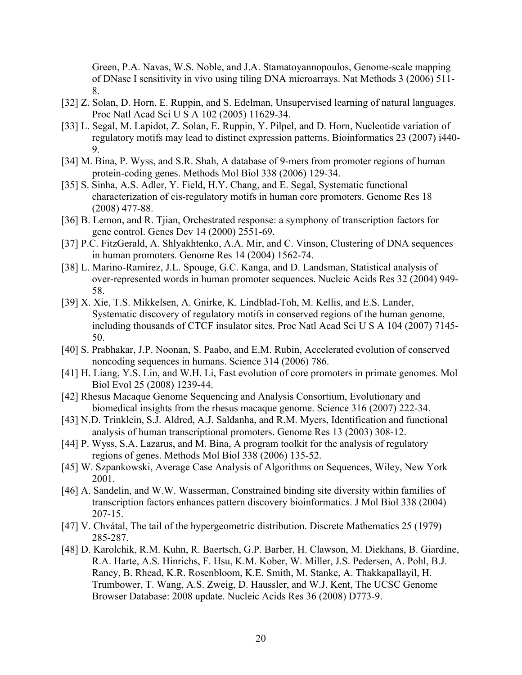Green, P.A. Navas, W.S. Noble, and J.A. Stamatoyannopoulos, Genome-scale mapping of DNase I sensitivity in vivo using tiling DNA microarrays. Nat Methods 3 (2006) 511- 8.

- [32] Z. Solan, D. Horn, E. Ruppin, and S. Edelman, Unsupervised learning of natural languages. Proc Natl Acad Sci U S A 102 (2005) 11629-34.
- [33] L. Segal, M. Lapidot, Z. Solan, E. Ruppin, Y. Pilpel, and D. Horn, Nucleotide variation of regulatory motifs may lead to distinct expression patterns. Bioinformatics 23 (2007) i440- 9.
- [34] M. Bina, P. Wyss, and S.R. Shah, A database of 9-mers from promoter regions of human protein-coding genes. Methods Mol Biol 338 (2006) 129-34.
- [35] S. Sinha, A.S. Adler, Y. Field, H.Y. Chang, and E. Segal, Systematic functional characterization of cis-regulatory motifs in human core promoters. Genome Res 18 (2008) 477-88.
- [36] B. Lemon, and R. Tjian, Orchestrated response: a symphony of transcription factors for gene control. Genes Dev 14 (2000) 2551-69.
- [37] P.C. FitzGerald, A. Shlyakhtenko, A.A. Mir, and C. Vinson, Clustering of DNA sequences in human promoters. Genome Res 14 (2004) 1562-74.
- [38] L. Marino-Ramirez, J.L. Spouge, G.C. Kanga, and D. Landsman, Statistical analysis of over-represented words in human promoter sequences. Nucleic Acids Res 32 (2004) 949- 58.
- [39] X. Xie, T.S. Mikkelsen, A. Gnirke, K. Lindblad-Toh, M. Kellis, and E.S. Lander, Systematic discovery of regulatory motifs in conserved regions of the human genome, including thousands of CTCF insulator sites. Proc Natl Acad Sci U S A 104 (2007) 7145- 50.
- [40] S. Prabhakar, J.P. Noonan, S. Paabo, and E.M. Rubin, Accelerated evolution of conserved noncoding sequences in humans. Science 314 (2006) 786.
- [41] H. Liang, Y.S. Lin, and W.H. Li, Fast evolution of core promoters in primate genomes. Mol Biol Evol 25 (2008) 1239-44.
- [42] Rhesus Macaque Genome Sequencing and Analysis Consortium, Evolutionary and biomedical insights from the rhesus macaque genome. Science 316 (2007) 222-34.
- [43] N.D. Trinklein, S.J. Aldred, A.J. Saldanha, and R.M. Myers, Identification and functional analysis of human transcriptional promoters. Genome Res 13 (2003) 308-12.
- [44] P. Wyss, S.A. Lazarus, and M. Bina, A program toolkit for the analysis of regulatory regions of genes. Methods Mol Biol 338 (2006) 135-52.
- [45] W. Szpankowski, Average Case Analysis of Algorithms on Sequences, Wiley, New York 2001.
- [46] A. Sandelin, and W.W. Wasserman, Constrained binding site diversity within families of transcription factors enhances pattern discovery bioinformatics. J Mol Biol 338 (2004) 207-15.
- [47] V. Chvátal, The tail of the hypergeometric distribution. Discrete Mathematics 25 (1979) 285-287.
- [48] D. Karolchik, R.M. Kuhn, R. Baertsch, G.P. Barber, H. Clawson, M. Diekhans, B. Giardine, R.A. Harte, A.S. Hinrichs, F. Hsu, K.M. Kober, W. Miller, J.S. Pedersen, A. Pohl, B.J. Raney, B. Rhead, K.R. Rosenbloom, K.E. Smith, M. Stanke, A. Thakkapallayil, H. Trumbower, T. Wang, A.S. Zweig, D. Haussler, and W.J. Kent, The UCSC Genome Browser Database: 2008 update. Nucleic Acids Res 36 (2008) D773-9.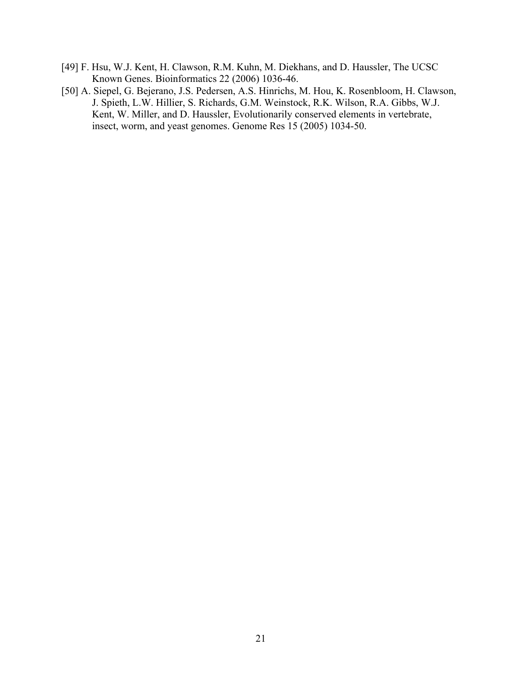- [49] F. Hsu, W.J. Kent, H. Clawson, R.M. Kuhn, M. Diekhans, and D. Haussler, The UCSC Known Genes. Bioinformatics 22 (2006) 1036-46.
- [50] A. Siepel, G. Bejerano, J.S. Pedersen, A.S. Hinrichs, M. Hou, K. Rosenbloom, H. Clawson, J. Spieth, L.W. Hillier, S. Richards, G.M. Weinstock, R.K. Wilson, R.A. Gibbs, W.J. Kent, W. Miller, and D. Haussler, Evolutionarily conserved elements in vertebrate, insect, worm, and yeast genomes. Genome Res 15 (2005) 1034-50.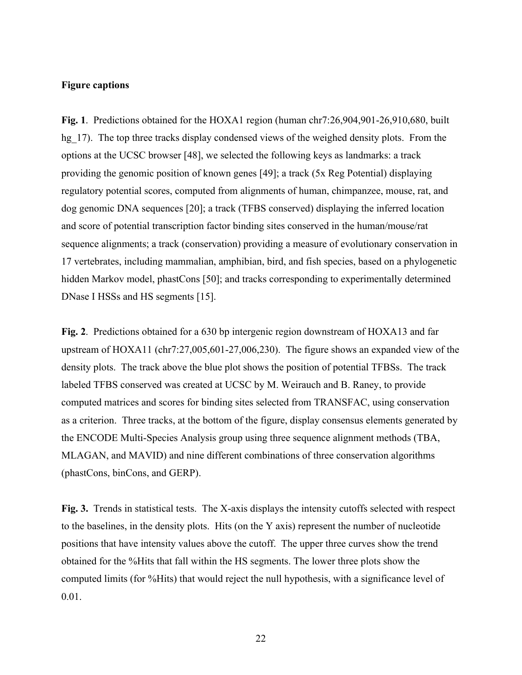#### **Figure captions**

**Fig. 1**. Predictions obtained for the HOXA1 region (human chr7:26,904,901-26,910,680, built hg 17). The top three tracks display condensed views of the weighed density plots. From the options at the UCSC browser [48], we selected the following keys as landmarks: a track providing the genomic position of known genes [49]; a track (5x Reg Potential) displaying regulatory potential scores, computed from alignments of human, chimpanzee, mouse, rat, and dog genomic DNA sequences [20]; a track (TFBS conserved) displaying the inferred location and score of potential transcription factor binding sites conserved in the human/mouse/rat sequence alignments; a track (conservation) providing a measure of evolutionary conservation in 17 vertebrates, including mammalian, amphibian, bird, and fish species, based on a phylogenetic hidden Markov model, phastCons [50]; and tracks corresponding to experimentally determined DNase I HSSs and HS segments [15].

**Fig. 2**. Predictions obtained for a 630 bp intergenic region downstream of HOXA13 and far upstream of HOXA11 (chr7:27,005,601-27,006,230). The figure shows an expanded view of the density plots. The track above the blue plot shows the position of potential TFBSs. The track labeled TFBS conserved was created at UCSC by M. Weirauch and B. Raney, to provide computed matrices and scores for binding sites selected from TRANSFAC, using conservation as a criterion. Three tracks, at the bottom of the figure, display consensus elements generated by the ENCODE Multi-Species Analysis group using three sequence alignment methods (TBA, MLAGAN, and MAVID) and nine different combinations of three conservation algorithms (phastCons, binCons, and GERP).

**Fig. 3.** Trends in statistical tests. The X-axis displays the intensity cutoffs selected with respect to the baselines, in the density plots. Hits (on the Y axis) represent the number of nucleotide positions that have intensity values above the cutoff. The upper three curves show the trend obtained for the %Hits that fall within the HS segments. The lower three plots show the computed limits (for %Hits) that would reject the null hypothesis, with a significance level of 0.01.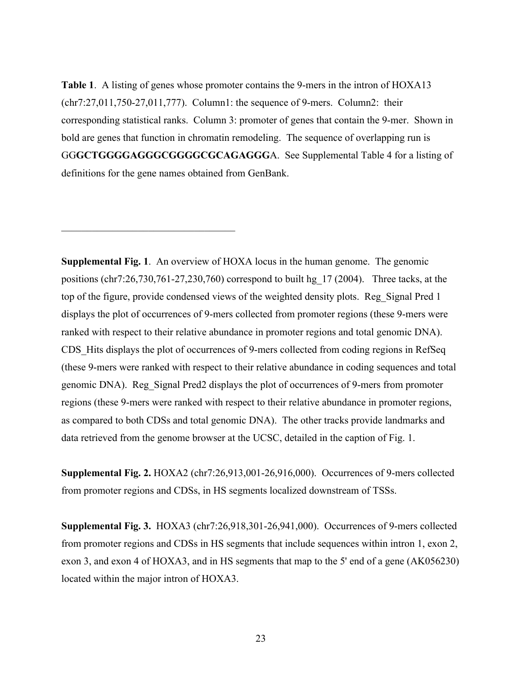**Table 1**. A listing of genes whose promoter contains the 9-mers in the intron of HOXA13 (chr7:27,011,750-27,011,777). Column1: the sequence of 9-mers. Column2: their corresponding statistical ranks. Column 3: promoter of genes that contain the 9-mer. Shown in bold are genes that function in chromatin remodeling. The sequence of overlapping run is GG**GCTGGGGAGGGCGGGGCGCAGAGGG**A. See Supplemental Table 4 for a listing of definitions for the gene names obtained from GenBank.

 $\mathcal{L}_\text{max}$  , where  $\mathcal{L}_\text{max}$  and  $\mathcal{L}_\text{max}$  and  $\mathcal{L}_\text{max}$ 

**Supplemental Fig. 1**. An overview of HOXA locus in the human genome. The genomic positions (chr7:26,730,761-27,230,760) correspond to built hg  $17$  (2004). Three tacks, at the top of the figure, provide condensed views of the weighted density plots. Reg\_Signal Pred 1 displays the plot of occurrences of 9-mers collected from promoter regions (these 9-mers were ranked with respect to their relative abundance in promoter regions and total genomic DNA). CDS\_Hits displays the plot of occurrences of 9-mers collected from coding regions in RefSeq (these 9-mers were ranked with respect to their relative abundance in coding sequences and total genomic DNA). Reg\_Signal Pred2 displays the plot of occurrences of 9-mers from promoter regions (these 9-mers were ranked with respect to their relative abundance in promoter regions, as compared to both CDSs and total genomic DNA). The other tracks provide landmarks and data retrieved from the genome browser at the UCSC, detailed in the caption of Fig. 1.

**Supplemental Fig. 2.** HOXA2 (chr7:26,913,001-26,916,000). Occurrences of 9-mers collected from promoter regions and CDSs, in HS segments localized downstream of TSSs.

**Supplemental Fig. 3.** HOXA3 (chr7:26,918,301-26,941,000). Occurrences of 9-mers collected from promoter regions and CDSs in HS segments that include sequences within intron 1, exon 2, exon 3, and exon 4 of HOXA3, and in HS segments that map to the 5' end of a gene (AK056230) located within the major intron of HOXA3.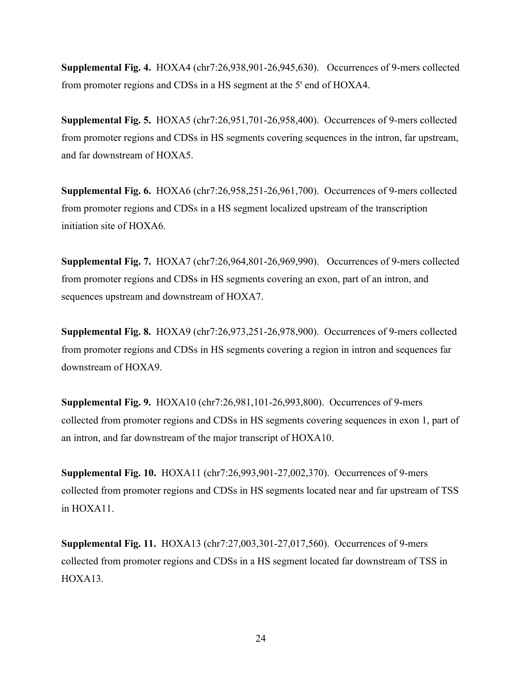**Supplemental Fig. 4.** HOXA4 (chr7:26,938,901-26,945,630). Occurrences of 9-mers collected from promoter regions and CDSs in a HS segment at the 5' end of HOXA4.

**Supplemental Fig. 5.** HOXA5 (chr7:26,951,701-26,958,400). Occurrences of 9-mers collected from promoter regions and CDSs in HS segments covering sequences in the intron, far upstream, and far downstream of HOXA5.

**Supplemental Fig. 6.** HOXA6 (chr7:26,958,251-26,961,700). Occurrences of 9-mers collected from promoter regions and CDSs in a HS segment localized upstream of the transcription initiation site of HOXA6.

**Supplemental Fig. 7.** HOXA7 (chr7:26,964,801-26,969,990). Occurrences of 9-mers collected from promoter regions and CDSs in HS segments covering an exon, part of an intron, and sequences upstream and downstream of HOXA7.

**Supplemental Fig. 8.** HOXA9 (chr7:26,973,251-26,978,900). Occurrences of 9-mers collected from promoter regions and CDSs in HS segments covering a region in intron and sequences far downstream of HOXA9.

**Supplemental Fig. 9.** HOXA10 (chr7:26,981,101-26,993,800). Occurrences of 9-mers collected from promoter regions and CDSs in HS segments covering sequences in exon 1, part of an intron, and far downstream of the major transcript of HOXA10.

**Supplemental Fig. 10.** HOXA11 (chr7:26,993,901-27,002,370). Occurrences of 9-mers collected from promoter regions and CDSs in HS segments located near and far upstream of TSS in HOXA11.

**Supplemental Fig. 11.** HOXA13 (chr7:27,003,301-27,017,560). Occurrences of 9-mers collected from promoter regions and CDSs in a HS segment located far downstream of TSS in HOXA13.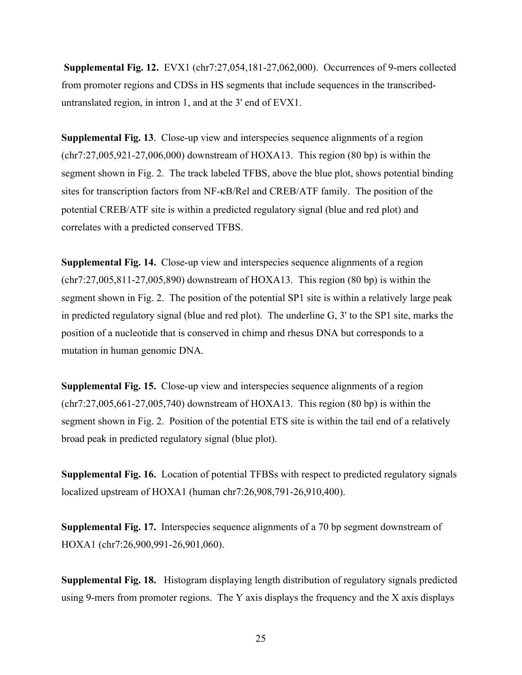**Supplemental Fig. 12.** EVX1 (chr7:27,054,181-27,062,000). Occurrences of 9-mers collected from promoter regions and CDSs in HS segments that include sequences in the transcribeduntranslated region, in intron 1, and at the 3' end of EVX1.

**Supplemental Fig. 13**. Close-up view and interspecies sequence alignments of a region (chr7:27,005,921-27,006,000) downstream of HOXA13. This region (80 bp) is within the segment shown in Fig. 2. The track labeled TFBS, above the blue plot, shows potential binding sites for transcription factors from  $NF$ - $\kappa$ B/Rel and CREB/ATF family. The position of the potential CREB/ATF site is within a predicted regulatory signal (blue and red plot) and correlates with a predicted conserved TFBS.

**Supplemental Fig. 14.** Close-up view and interspecies sequence alignments of a region (chr7:27,005,811-27,005,890) downstream of HOXA13. This region (80 bp) is within the segment shown in Fig. 2. The position of the potential SP1 site is within a relatively large peak in predicted regulatory signal (blue and red plot). The underline G, 3' to the SP1 site, marks the position of a nucleotide that is conserved in chimp and rhesus DNA but corresponds to a mutation in human genomic DNA.

**Supplemental Fig. 15.** Close-up view and interspecies sequence alignments of a region (chr7:27,005,661-27,005,740) downstream of HOXA13. This region (80 bp) is within the segment shown in Fig. 2. Position of the potential ETS site is within the tail end of a relatively broad peak in predicted regulatory signal (blue plot).

**Supplemental Fig. 16.** Location of potential TFBSs with respect to predicted regulatory signals localized upstream of HOXA1 (human chr7:26,908,791-26,910,400).

**Supplemental Fig. 17.** Interspecies sequence alignments of a 70 bp segment downstream of HOXA1 (chr7:26,900,991-26,901,060).

**Supplemental Fig. 18.** Histogram displaying length distribution of regulatory signals predicted using 9-mers from promoter regions. The Y axis displays the frequency and the X axis displays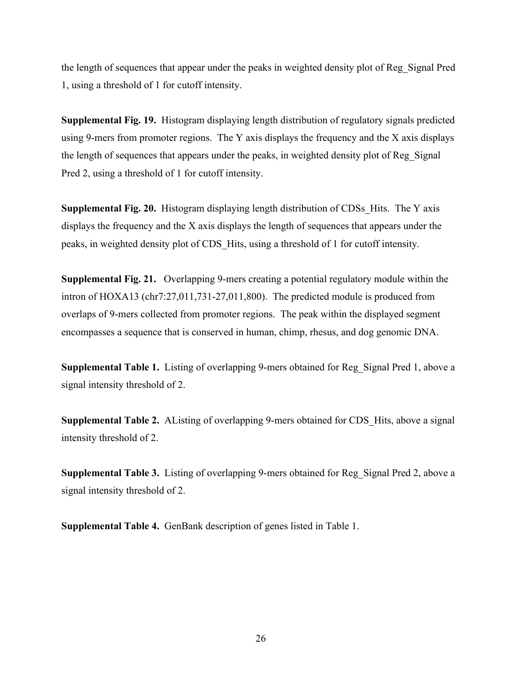the length of sequences that appear under the peaks in weighted density plot of Reg\_Signal Pred 1, using a threshold of 1 for cutoff intensity.

**Supplemental Fig. 19.** Histogram displaying length distribution of regulatory signals predicted using 9-mers from promoter regions. The Y axis displays the frequency and the X axis displays the length of sequences that appears under the peaks, in weighted density plot of Reg\_Signal Pred 2, using a threshold of 1 for cutoff intensity.

**Supplemental Fig. 20.** Histogram displaying length distribution of CDSs\_Hits. The Y axis displays the frequency and the X axis displays the length of sequences that appears under the peaks, in weighted density plot of CDS\_Hits, using a threshold of 1 for cutoff intensity.

**Supplemental Fig. 21.** Overlapping 9-mers creating a potential regulatory module within the intron of HOXA13 (chr7:27,011,731-27,011,800). The predicted module is produced from overlaps of 9-mers collected from promoter regions. The peak within the displayed segment encompasses a sequence that is conserved in human, chimp, rhesus, and dog genomic DNA.

**Supplemental Table 1.** Listing of overlapping 9-mers obtained for Reg\_Signal Pred 1, above a signal intensity threshold of 2.

**Supplemental Table 2.** AListing of overlapping 9-mers obtained for CDS\_Hits, above a signal intensity threshold of 2.

**Supplemental Table 3.** Listing of overlapping 9-mers obtained for Reg\_Signal Pred 2, above a signal intensity threshold of 2.

**Supplemental Table 4.** GenBank description of genes listed in Table 1.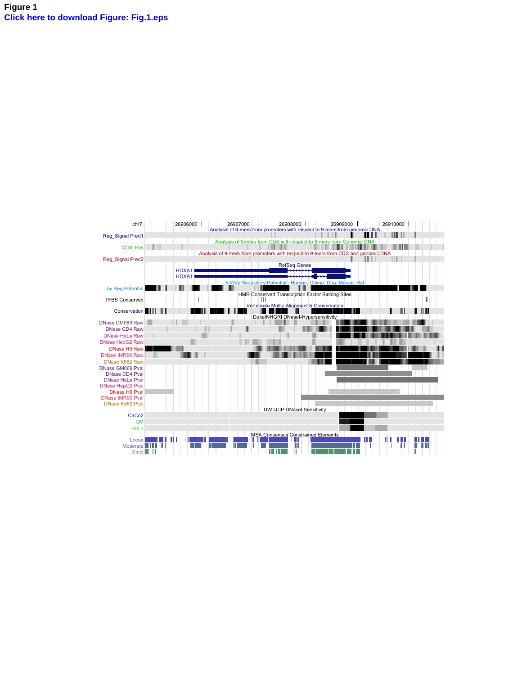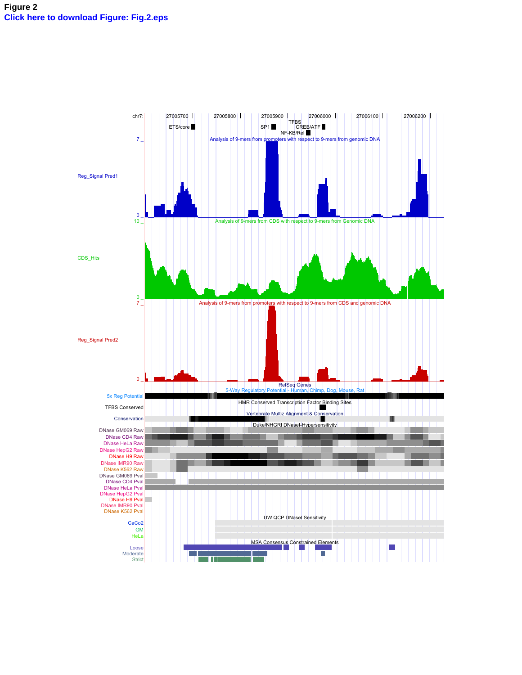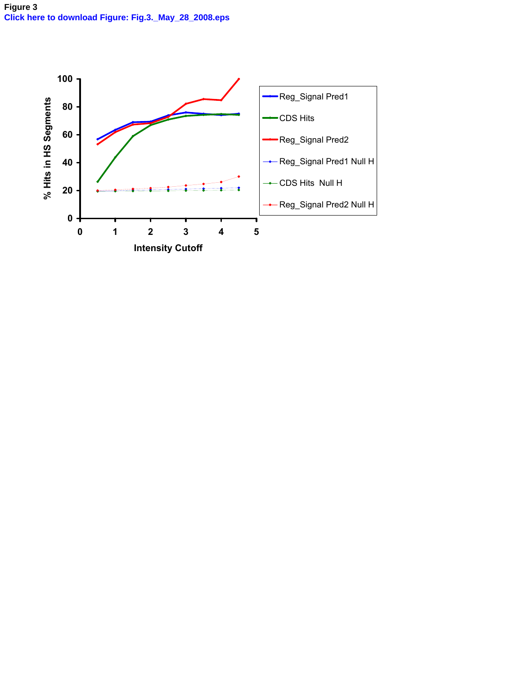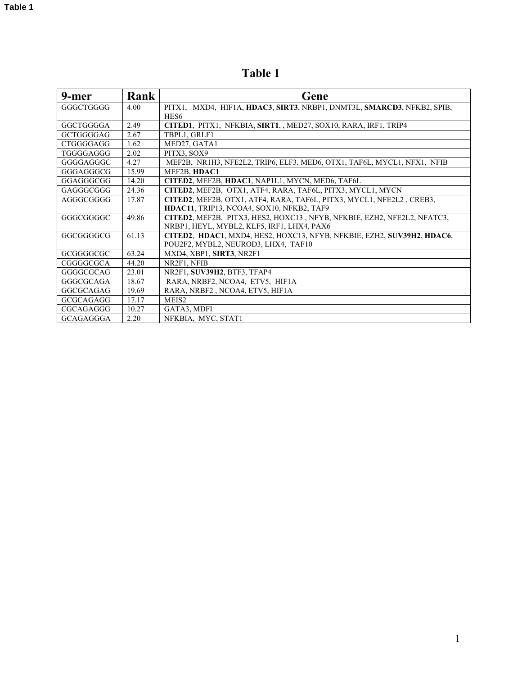**Table 1**

| 9-mer            | Rank  | Gene                                                                    |
|------------------|-------|-------------------------------------------------------------------------|
| GGGCTGGGG        | 4.00  | PITX1, MXD4, HIF1A, HDAC3, SIRT3, NRBP1, DNMT3L, SMARCD3, NFKB2, SPIB,  |
|                  |       | HES <sub>6</sub>                                                        |
| GGCTGGGGA        | 2.49  | CITED1, PITX1, NFKBIA, SIRT1, , MED27, SOX10, RARA, IRF1, TRIP4         |
| <b>GCTGGGGAG</b> | 2.67  | TBPL1, GRLF1                                                            |
| <b>CTGGGGAGG</b> | 1.62  | MED27, GATA1                                                            |
| TGGGGAGGG        | 2.02  | PITX3, SOX9                                                             |
| GGGGAGGGC        | 4.27  | MEF2B, NR1H3, NFE2L2, TRIP6, ELF3, MED6, OTX1, TAF6L, MYCL1, NFX1, NFIB |
| GGGAGGGCG        | 15.99 | MEF2B. HDAC1                                                            |
| GGAGGGCGG        | 14.20 | CITED2, MEF2B, HDAC1, NAP1L1, MYCN, MED6, TAF6L                         |
| GAGGGCGGG        | 24.36 | CITED2, MEF2B, OTX1, ATF4, RARA, TAF6L, PITX3, MYCL1, MYCN              |
| AGGGCGGGG        | 17.87 | CITED2, MEF2B, OTX1, ATF4, RARA, TAF6L, PITX3, MYCL1, NFE2L2, CREB3,    |
|                  |       | HDAC11, TRIP13, NCOA4, SOX10, NFKB2, TAF9                               |
| GGGCGGGGC        | 49.86 | CITED2, MEF2B, PITX3, HES2, HOXC13, NFYB, NFKBIE, EZH2, NFE2L2, NFATC3, |
|                  |       | NRBP1, HEYL, MYBL2, KLF5, IRF1, LHX4, PAX6                              |
| GGCGGGGCG        | 61.13 | CITED2, HDAC1, MXD4, HES2, HOXC13, NFYB, NFKBIE, EZH2, SUV39H2, HDAC6,  |
|                  |       | POU2F2, MYBL2, NEUROD3, LHX4, TAF10                                     |
| GCGGGGCGC        | 63.24 | MXD4, XBP1, SIRT3, NR2F1                                                |
| CGGGGCGCA        | 44.20 | NR2F1, NFIB                                                             |
| GGGGCGCAG        | 23.01 | NR2F1, SUV39H2, BTF3, TFAP4                                             |
| GGGCGCAGA        | 18.67 | RARA, NRBF2, NCOA4, ETV5, HIF1A                                         |
| GGCGCAGAG        | 19.69 | RARA, NRBF2, NCOA4, ETV5, HIF1A                                         |
| <b>GCGCAGAGG</b> | 17.17 | MEIS <sub>2</sub>                                                       |
| CGCAGAGGG        | 10.27 | GATA3, MDFI                                                             |
| GCAGAGGGA        | 2.20  | NFKBIA, MYC, STAT1                                                      |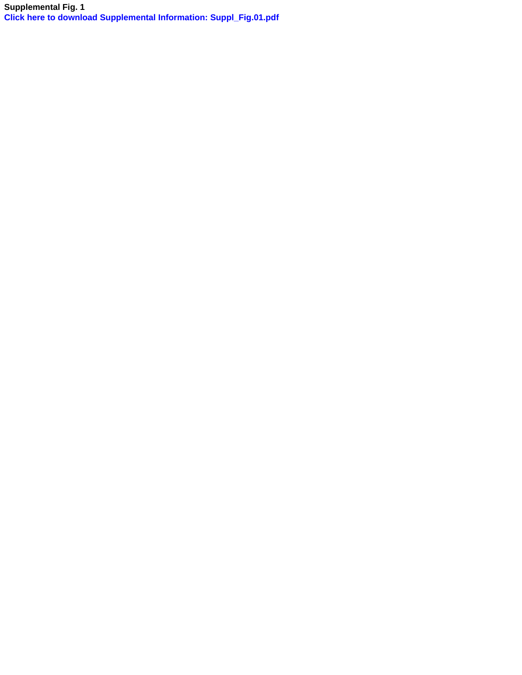**Supplemental Fig. 1 [Click here to download Supplemental Information: Suppl\\_Fig.01.pdf](http://ees.elsevier.com/geno/download.aspx?id=74747&guid=c3c89a5b-e9a7-41dc-9918-0e82bd8e4724&scheme=1)**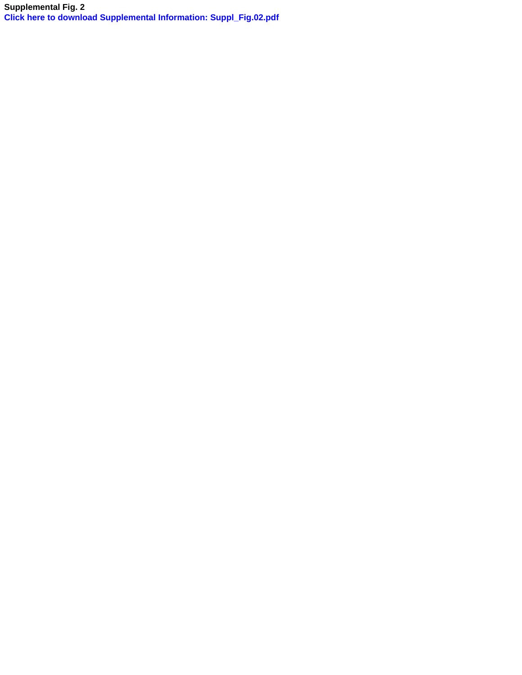**Supplemental Fig. 2 [Click here to download Supplemental Information: Suppl\\_Fig.02.pdf](http://ees.elsevier.com/geno/download.aspx?id=74748&guid=c3244994-b9b8-4367-808e-0a743df84566&scheme=1)**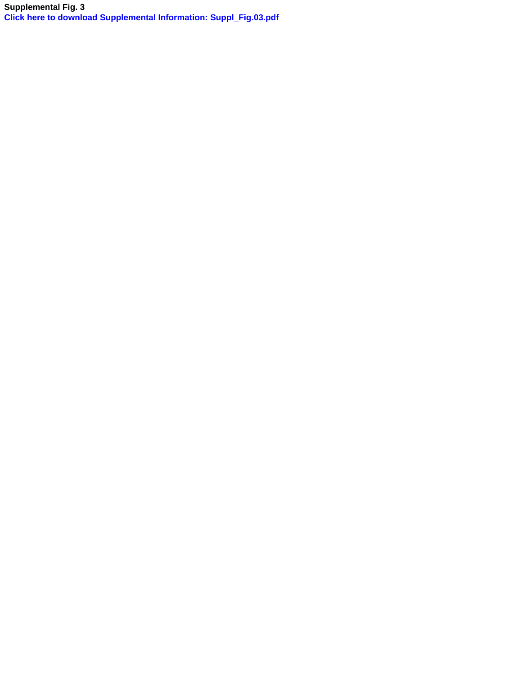**Supplemental Fig. 3 [Click here to download Supplemental Information: Suppl\\_Fig.03.pdf](http://ees.elsevier.com/geno/download.aspx?id=74823&guid=3b8eeb62-090c-43fd-b973-90d449925da4&scheme=1)**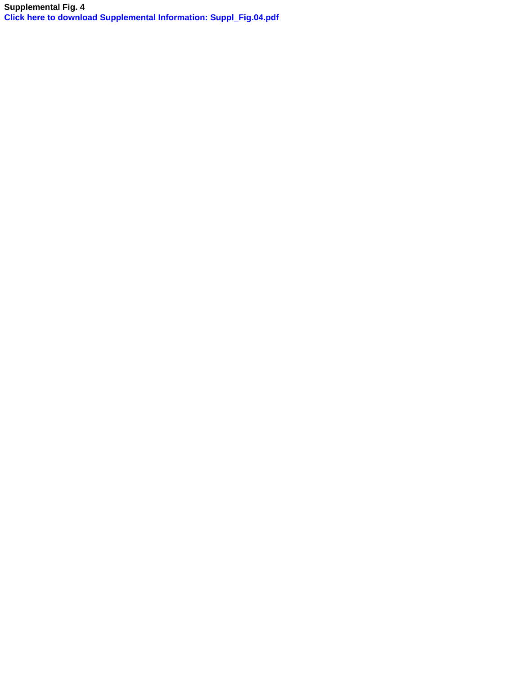**Supplemental Fig. 4 [Click here to download Supplemental Information: Suppl\\_Fig.04.pdf](http://ees.elsevier.com/geno/download.aspx?id=74752&guid=7ac09fa4-953c-4a56-ad00-fb20bb809502&scheme=1)**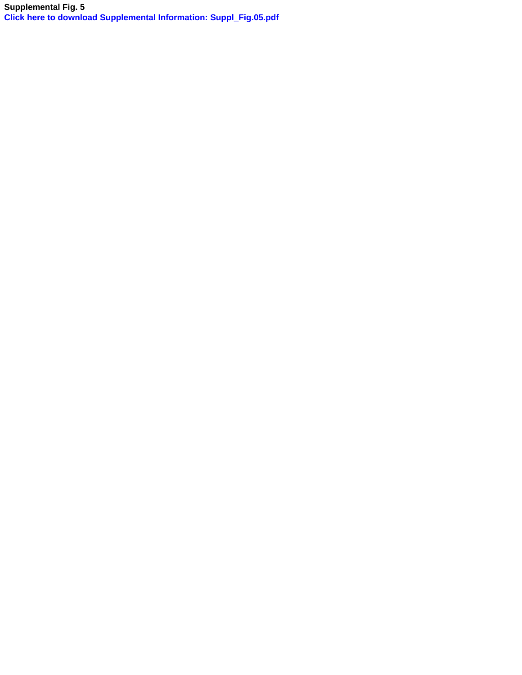**Supplemental Fig. 5 [Click here to download Supplemental Information: Suppl\\_Fig.05.pdf](http://ees.elsevier.com/geno/download.aspx?id=74753&guid=0d2d5e1d-cb01-4ed3-8a0e-e959cb279d22&scheme=1)**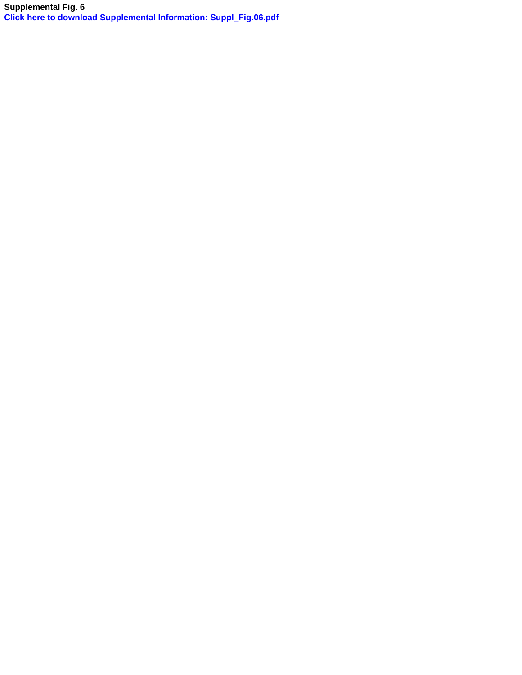**Supplemental Fig. 6 [Click here to download Supplemental Information: Suppl\\_Fig.06.pdf](http://ees.elsevier.com/geno/download.aspx?id=74754&guid=3f02da8c-9946-4ae9-9c3a-2d2612e87b30&scheme=1)**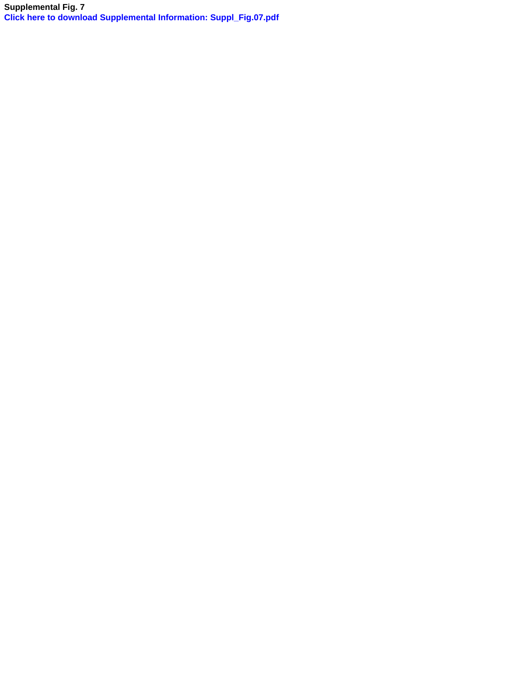**Supplemental Fig. 7 [Click here to download Supplemental Information: Suppl\\_Fig.07.pdf](http://ees.elsevier.com/geno/download.aspx?id=74755&guid=8291694a-7b2b-4976-b4e8-4eef7b4ae59c&scheme=1)**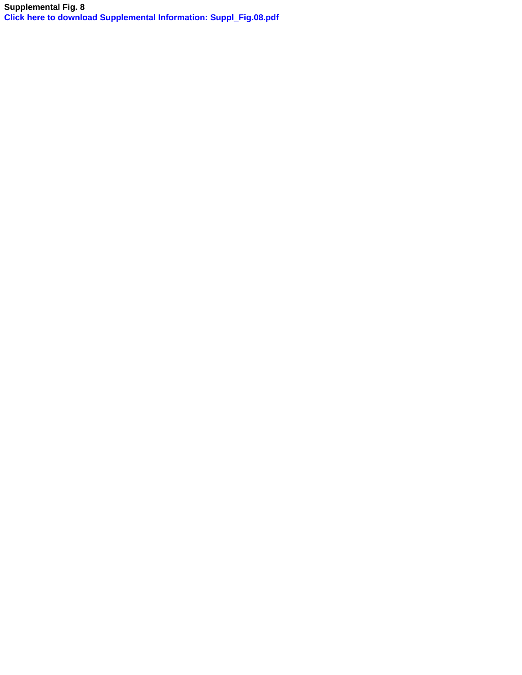**Supplemental Fig. 8 [Click here to download Supplemental Information: Suppl\\_Fig.08.pdf](http://ees.elsevier.com/geno/download.aspx?id=74756&guid=1b56540d-f473-4ff0-ba03-31ee2ca0cd29&scheme=1)**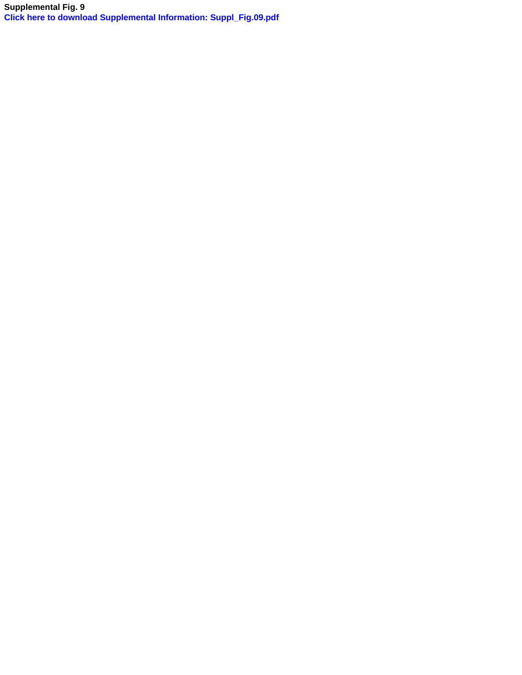**Supplemental Fig. 9 [Click here to download Supplemental Information: Suppl\\_Fig.09.pdf](http://ees.elsevier.com/geno/download.aspx?id=74757&guid=964bb40d-e07d-4cbe-8aee-7313f7ae278a&scheme=1)**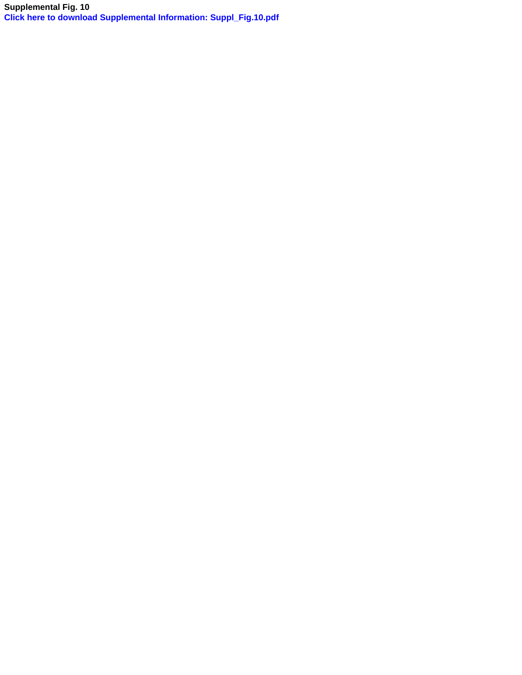**Supplemental Fig. 10 [Click here to download Supplemental Information: Suppl\\_Fig.10.pdf](http://ees.elsevier.com/geno/download.aspx?id=74758&guid=6f61325f-f8df-42d3-b068-e59d8ddafd84&scheme=1)**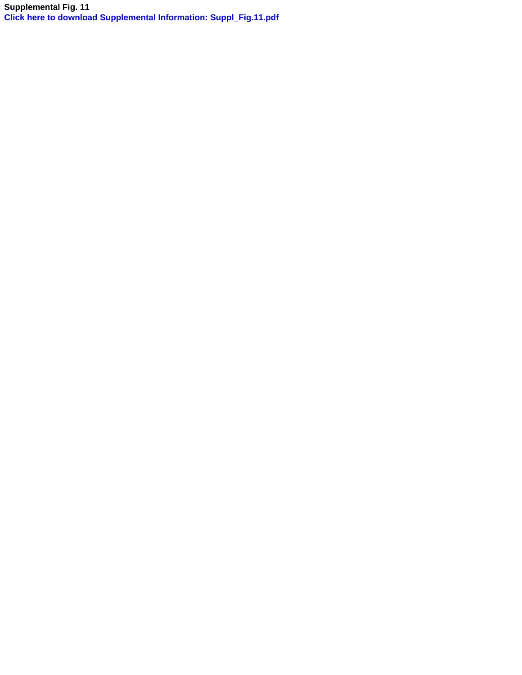**Supplemental Fig. 11 [Click here to download Supplemental Information: Suppl\\_Fig.11.pdf](http://ees.elsevier.com/geno/download.aspx?id=74759&guid=7a7f7e28-c7d8-4012-99a0-e1ea46dba521&scheme=1)**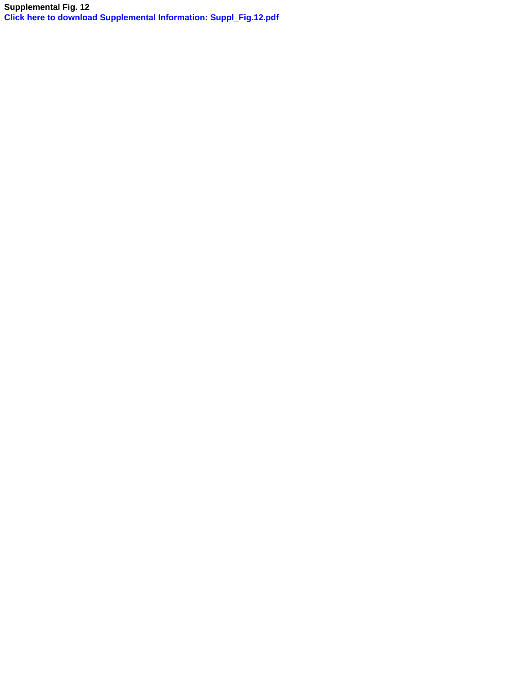**Supplemental Fig. 12 [Click here to download Supplemental Information: Suppl\\_Fig.12.pdf](http://ees.elsevier.com/geno/download.aspx?id=74760&guid=9012f55a-7251-4eaf-923f-ef0b51b9f0f0&scheme=1)**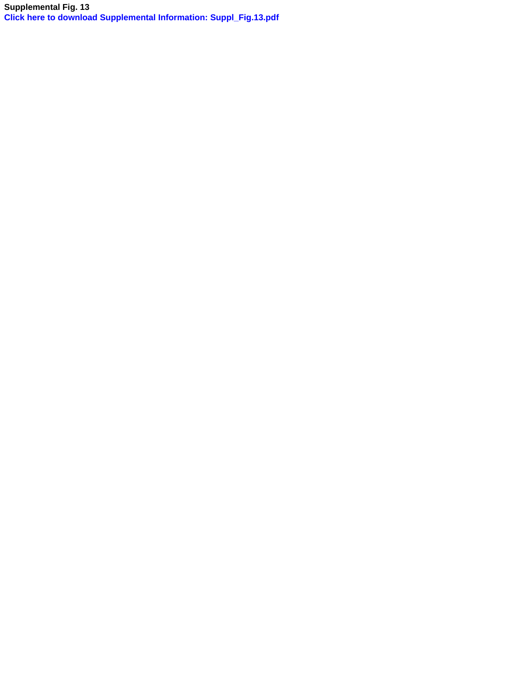**Supplemental Fig. 13 [Click here to download Supplemental Information: Suppl\\_Fig.13.pdf](http://ees.elsevier.com/geno/download.aspx?id=74761&guid=c5970143-c1b3-43ac-b927-9c3df8cd6541&scheme=1)**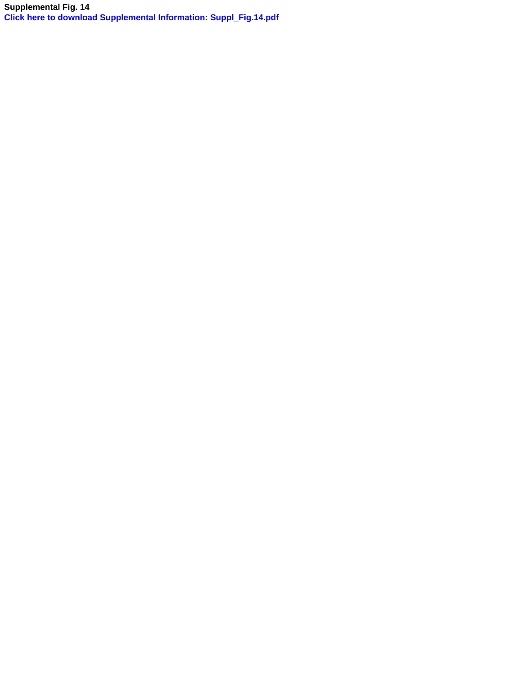**Supplemental Fig. 14 [Click here to download Supplemental Information: Suppl\\_Fig.14.pdf](http://ees.elsevier.com/geno/download.aspx?id=74762&guid=26e852fb-654c-45ed-919b-e7261b3a93de&scheme=1)**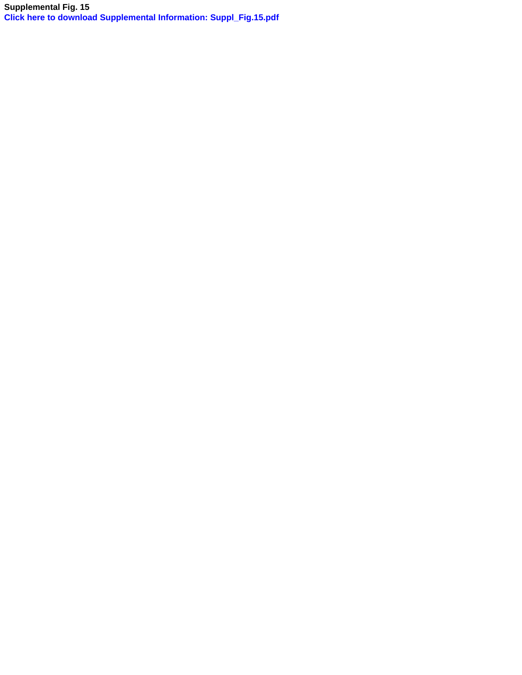**Supplemental Fig. 15 [Click here to download Supplemental Information: Suppl\\_Fig.15.pdf](http://ees.elsevier.com/geno/download.aspx?id=74763&guid=c8c5e868-8f38-4fe4-875a-9fe086920b2d&scheme=1)**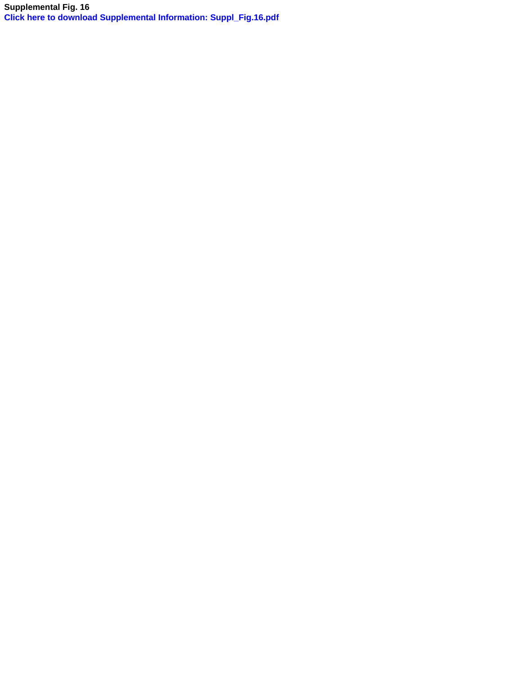**Supplemental Fig. 16 [Click here to download Supplemental Information: Suppl\\_Fig.16.pdf](http://ees.elsevier.com/geno/download.aspx?id=74764&guid=2cacffb0-2553-4947-a6da-011d0dec4be9&scheme=1)**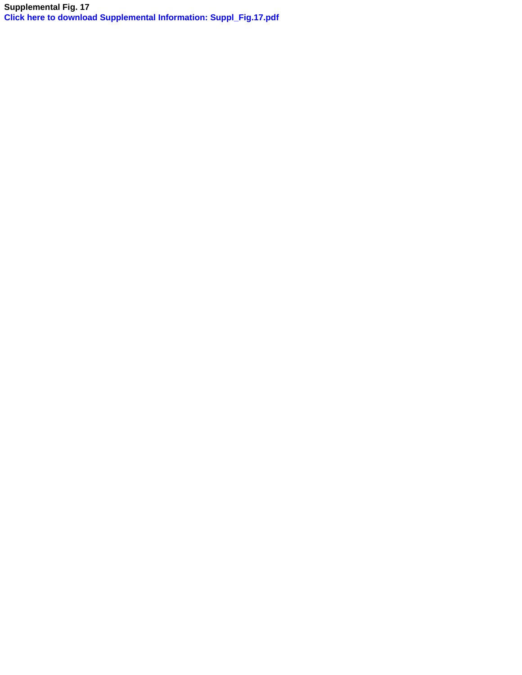**Supplemental Fig. 17 [Click here to download Supplemental Information: Suppl\\_Fig.17.pdf](http://ees.elsevier.com/geno/download.aspx?id=74765&guid=b81753d2-bfd2-43e8-8818-b098fb1556b0&scheme=1)**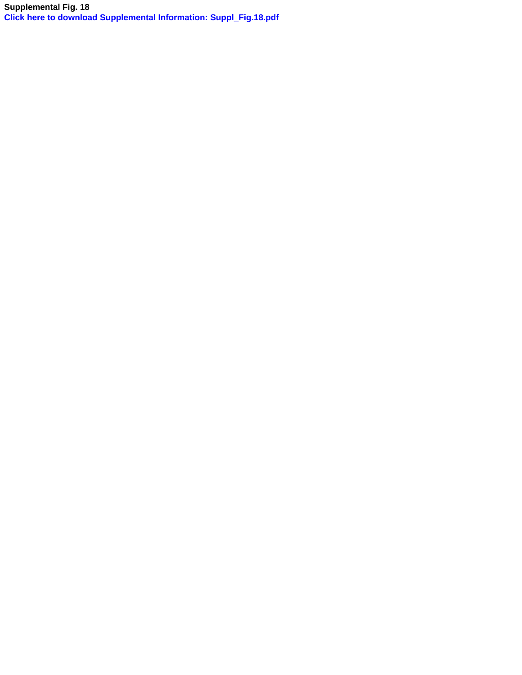**Supplemental Fig. 18 [Click here to download Supplemental Information: Suppl\\_Fig.18.pdf](http://ees.elsevier.com/geno/download.aspx?id=74766&guid=d0ee2bb4-1c67-44a8-a356-012b685d2d97&scheme=1)**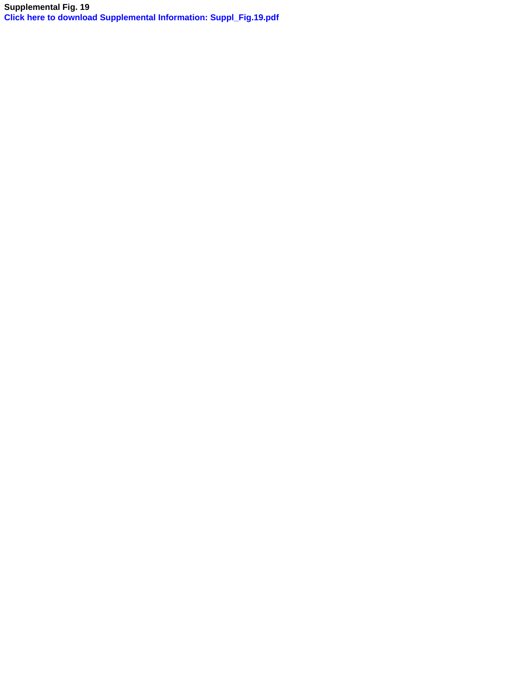**Supplemental Fig. 19 [Click here to download Supplemental Information: Suppl\\_Fig.19.pdf](http://ees.elsevier.com/geno/download.aspx?id=74767&guid=b4ea2560-ce9c-43d1-ba9a-cbe7a72b849f&scheme=1)**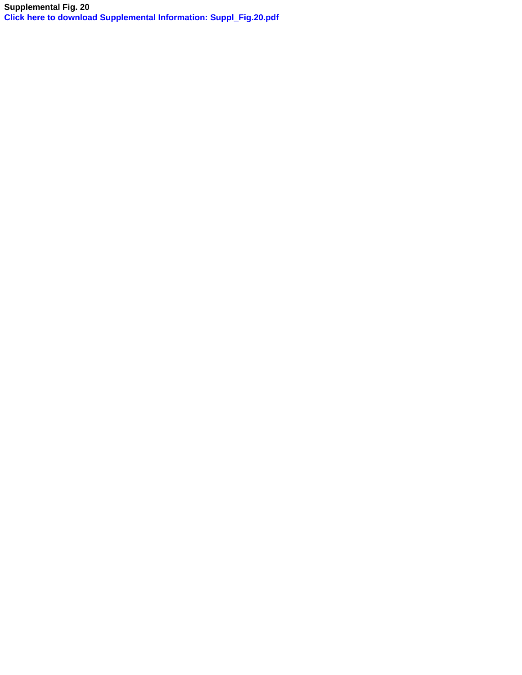**Supplemental Fig. 20 [Click here to download Supplemental Information: Suppl\\_Fig.20.pdf](http://ees.elsevier.com/geno/download.aspx?id=74768&guid=94eb6ad3-bebc-4401-9217-231e4ee69e85&scheme=1)**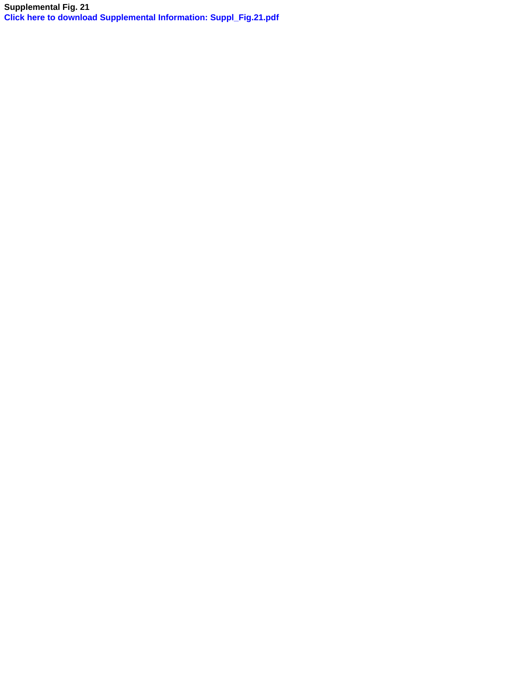**Supplemental Fig. 21 [Click here to download Supplemental Information: Suppl\\_Fig.21.pdf](http://ees.elsevier.com/geno/download.aspx?id=74769&guid=c5bff525-c871-4529-b272-fd791c108fb7&scheme=1)**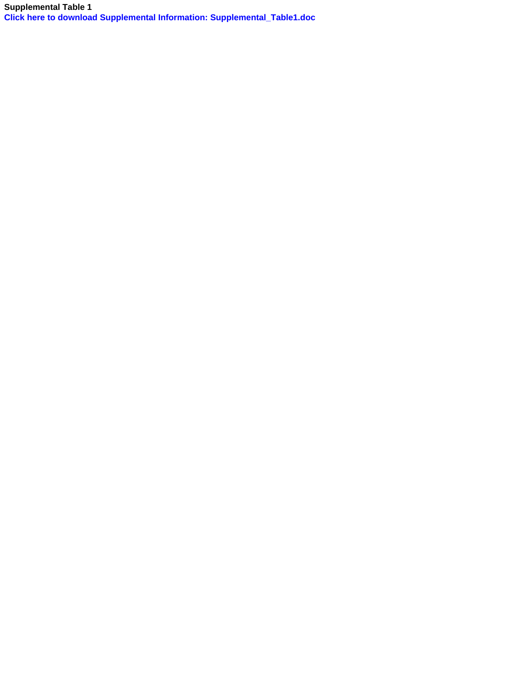**Supplemental Table 1 [Click here to download Supplemental Information: Supplemental\\_Table1.doc](http://ees.elsevier.com/geno/download.aspx?id=74770&guid=d9418a38-88e4-4002-992d-53108c08a7f7&scheme=1)**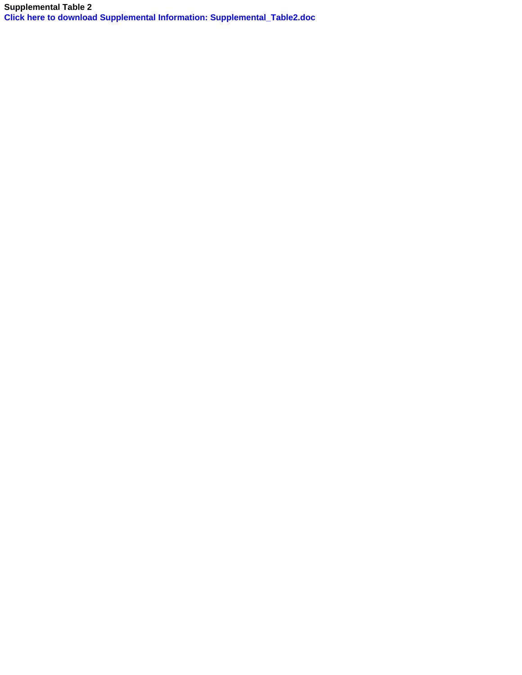**Supplemental Table 2 [Click here to download Supplemental Information: Supplemental\\_Table2.doc](http://ees.elsevier.com/geno/download.aspx?id=74771&guid=4aefa13c-274a-426a-b2a4-f6728f189930&scheme=1)**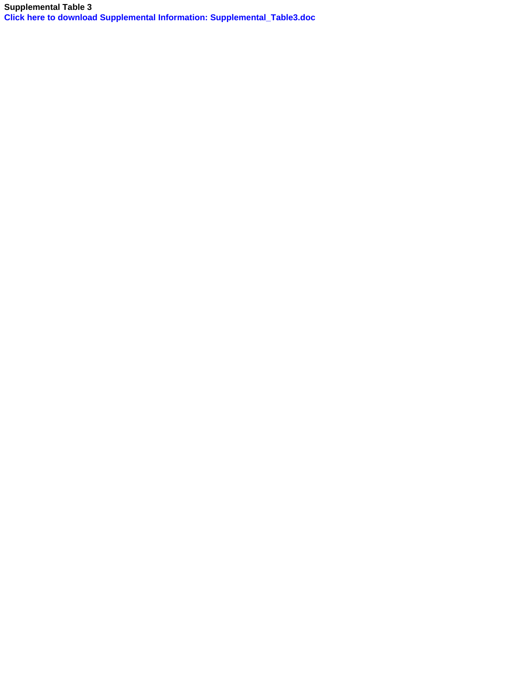**Supplemental Table 3 [Click here to download Supplemental Information: Supplemental\\_Table3.doc](http://ees.elsevier.com/geno/download.aspx?id=74772&guid=3c52de57-488e-4982-9849-3b6033f5a0c1&scheme=1)**